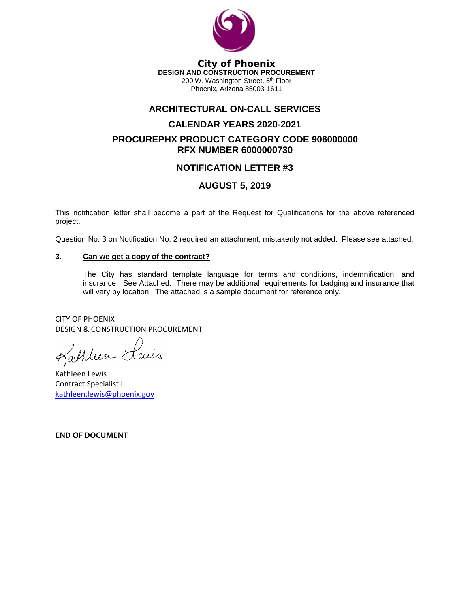

**City of Phoenix DESIGN AND CONSTRUCTION PROCUREMENT** 200 W. Washington Street, 5<sup>th</sup> Floor Phoenix, Arizona 85003-1611

### **ARCHITECTURAL ON-CALL SERVICES**

# **CALENDAR YEARS 2020-2021 PROCUREPHX PRODUCT CATEGORY CODE 906000000 RFX NUMBER 6000000730**

#### **NOTIFICATION LETTER #3**

#### **AUGUST 5, 2019**

This notification letter shall become a part of the Request for Qualifications for the above referenced project.

Question No. 3 on Notification No. 2 required an attachment; mistakenly not added. Please see attached.

#### **3. Can we get a copy of the contract?**

The City has standard template language for terms and conditions, indemnification, and insurance. See Attached. There may be additional requirements for badging and insurance that will vary by location. The attached is a sample document for reference only.

CITY OF PHOENIX DESIGN & CONSTRUCTION PROCUREMENT

Kathleen Lewis

Kathleen Lewis Contract Specialist II [kathleen.lewis@phoenix.gov](mailto:kathleen.lewis@phoenix.gov)

**END OF DOCUMENT**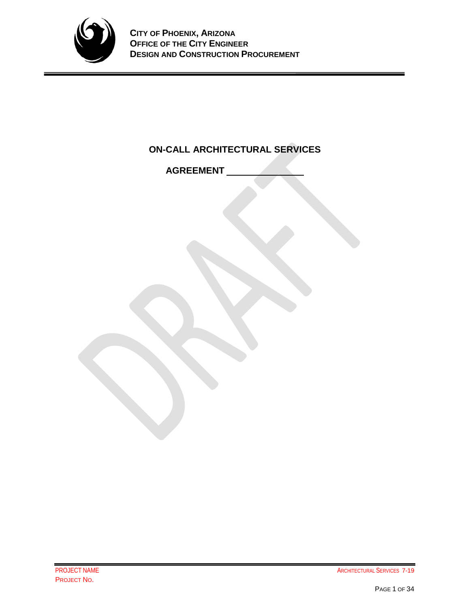

# **ON-CALL ARCHITECTURAL SERVICES**

**AGREEMENT**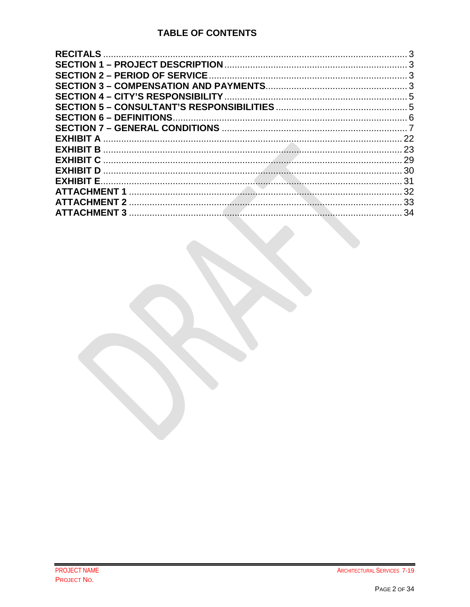| EXHIBIT A           | 22   |
|---------------------|------|
|                     |      |
| <b>EXHIBIT C</b>    | . 29 |
| EXHIBIT D           | 30   |
| <b>EXHIBIT E.</b>   |      |
|                     |      |
| <b>ATTACHMENT 2</b> | 33   |
|                     | 34   |
|                     |      |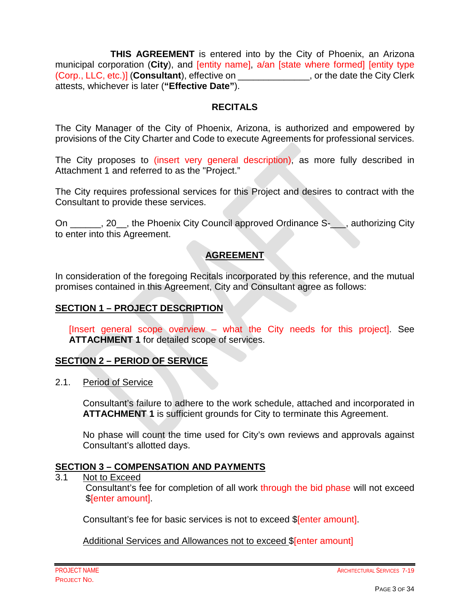**THIS AGREEMENT** is entered into by the City of Phoenix, an Arizona municipal corporation (**City**), and [entity name], a/an [state where formed] [entity type (Corp., LLC, etc.)] (**Consultant**), effective on \_\_\_\_\_\_\_\_\_\_\_\_\_\_, or the date the City Clerk attests, whichever is later (**"Effective Date"**).

#### **RECITALS**

<span id="page-3-0"></span>The City Manager of the City of Phoenix, Arizona, is authorized and empowered by provisions of the City Charter and Code to execute Agreements for professional services.

The City proposes to (insert very general description), as more fully described in Attachment 1 and referred to as the "Project."

The City requires professional services for this Project and desires to contract with the Consultant to provide these services.

On \_\_\_\_\_\_, 20\_\_, the Phoenix City Council approved Ordinance S-\_\_\_, authorizing City to enter into this Agreement.

#### **AGREEMENT**

In consideration of the foregoing Recitals incorporated by this reference, and the mutual promises contained in this Agreement, City and Consultant agree as follows:

#### <span id="page-3-1"></span>**SECTION 1 – PROJECT DESCRIPTION**

[Insert general scope overview – what the City needs for this project]. See **ATTACHMENT 1** for detailed scope of services.

#### <span id="page-3-2"></span>**SECTION 2 – PERIOD OF SERVICE**

2.1. Period of Service

Consultant's failure to adhere to the work schedule, attached and incorporated in **ATTACHMENT 1** is sufficient grounds for City to terminate this Agreement.

No phase will count the time used for City's own reviews and approvals against Consultant's allotted days.

#### <span id="page-3-3"></span>**SECTION 3 – COMPENSATION AND PAYMENTS**

3.1 Not to Exceed

Consultant's fee for completion of all work through the bid phase will not exceed \$[enter amount].

Consultant's fee for basic services is not to exceed \$[enter amount].

Additional Services and Allowances not to exceed \$[enter amount]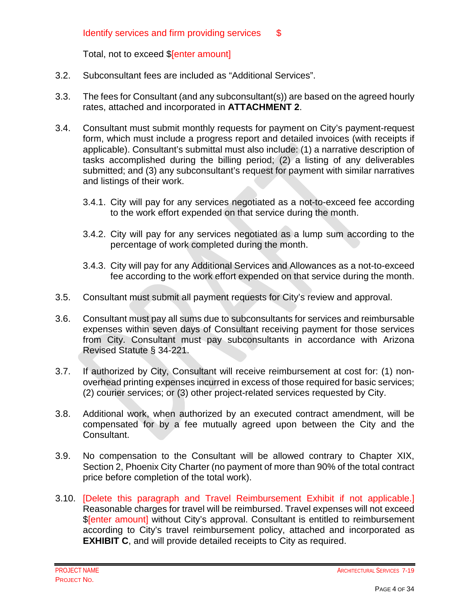Total, not to exceed \$[enter amount]

- 3.2. Subconsultant fees are included as "Additional Services".
- 3.3. The fees for Consultant (and any subconsultant(s)) are based on the agreed hourly rates, attached and incorporated in **ATTACHMENT 2**.
- 3.4. Consultant must submit monthly requests for payment on City's payment-request form, which must include a progress report and detailed invoices (with receipts if applicable). Consultant's submittal must also include: (1) a narrative description of tasks accomplished during the billing period; (2) a listing of any deliverables submitted; and (3) any subconsultant's request for payment with similar narratives and listings of their work.
	- 3.4.1. City will pay for any services negotiated as a not-to-exceed fee according to the work effort expended on that service during the month.
	- 3.4.2. City will pay for any services negotiated as a lump sum according to the percentage of work completed during the month.
	- 3.4.3. City will pay for any Additional Services and Allowances as a not-to-exceed fee according to the work effort expended on that service during the month.
- 3.5. Consultant must submit all payment requests for City's review and approval.
- 3.6. Consultant must pay all sums due to subconsultants for services and reimbursable expenses within seven days of Consultant receiving payment for those services from City. Consultant must pay subconsultants in accordance with Arizona Revised Statute § 34-221.
- 3.7. If authorized by City, Consultant will receive reimbursement at cost for: (1) nonoverhead printing expenses incurred in excess of those required for basic services; (2) courier services; or (3) other project-related services requested by City.
- 3.8. Additional work, when authorized by an executed contract amendment, will be compensated for by a fee mutually agreed upon between the City and the Consultant.
- 3.9. No compensation to the Consultant will be allowed contrary to Chapter XIX, Section 2, Phoenix City Charter (no payment of more than 90% of the total contract price before completion of the total work).
- 3.10. [Delete this paragraph and Travel Reimbursement Exhibit if not applicable.] Reasonable charges for travel will be reimbursed. Travel expenses will not exceed **Senter amount]** without City's approval. Consultant is entitled to reimbursement according to City's travel reimbursement policy, attached and incorporated as **EXHIBIT C**, and will provide detailed receipts to City as required.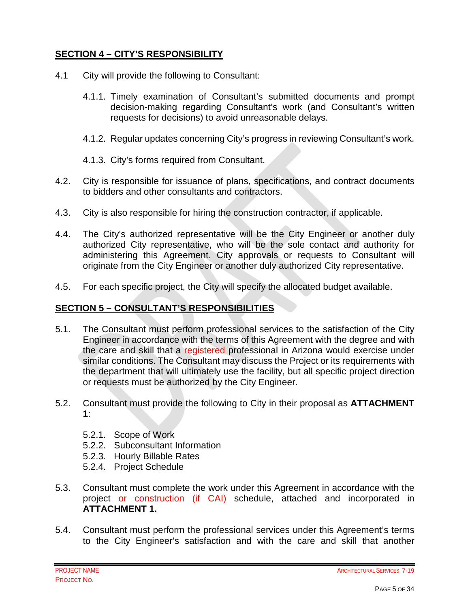## <span id="page-5-0"></span>**SECTION 4 – CITY'S RESPONSIBILITY**

- 4.1 City will provide the following to Consultant:
	- 4.1.1. Timely examination of Consultant's submitted documents and prompt decision-making regarding Consultant's work (and Consultant's written requests for decisions) to avoid unreasonable delays.
	- 4.1.2. Regular updates concerning City's progress in reviewing Consultant's work.
	- 4.1.3. City's forms required from Consultant.
- 4.2. City is responsible for issuance of plans, specifications, and contract documents to bidders and other consultants and contractors.
- 4.3. City is also responsible for hiring the construction contractor, if applicable.
- 4.4. The City's authorized representative will be the City Engineer or another duly authorized City representative, who will be the sole contact and authority for administering this Agreement. City approvals or requests to Consultant will originate from the City Engineer or another duly authorized City representative.
- 4.5. For each specific project, the City will specify the allocated budget available.

### <span id="page-5-1"></span>**SECTION 5 – CONSULTANT'S RESPONSIBILITIES**

- 5.1. The Consultant must perform professional services to the satisfaction of the City Engineer in accordance with the terms of this Agreement with the degree and with the care and skill that a registered professional in Arizona would exercise under similar conditions. The Consultant may discuss the Project or its requirements with the department that will ultimately use the facility, but all specific project direction or requests must be authorized by the City Engineer.
- 5.2. Consultant must provide the following to City in their proposal as **ATTACHMENT 1**:
	- 5.2.1. Scope of Work
	- 5.2.2. Subconsultant Information
	- 5.2.3. Hourly Billable Rates
	- 5.2.4. Project Schedule
- 5.3. Consultant must complete the work under this Agreement in accordance with the project or construction (if CAI) schedule, attached and incorporated in **ATTACHMENT 1.**
- 5.4. Consultant must perform the professional services under this Agreement's terms to the City Engineer's satisfaction and with the care and skill that another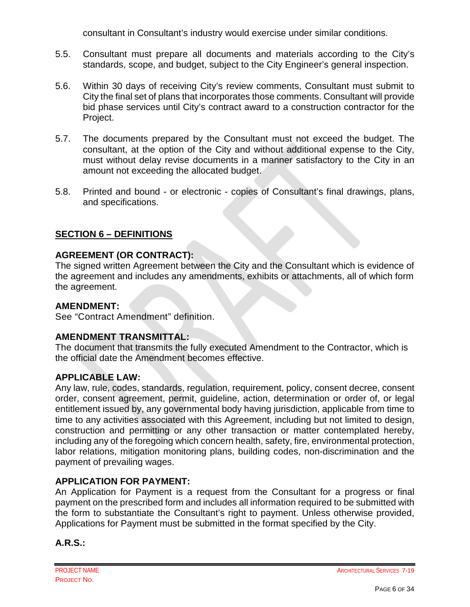consultant in Consultant's industry would exercise under similar conditions.

- 5.5. Consultant must prepare all documents and materials according to the City's standards, scope, and budget, subject to the City Engineer's general inspection.
- 5.6. Within 30 days of receiving City's review comments, Consultant must submit to City the final set of plans that incorporates those comments. Consultant will provide bid phase services until City's contract award to a construction contractor for the Project.
- 5.7. The documents prepared by the Consultant must not exceed the budget. The consultant, at the option of the City and without additional expense to the City, must without delay revise documents in a manner satisfactory to the City in an amount not exceeding the allocated budget.
- 5.8. Printed and bound or electronic copies of Consultant's final drawings, plans, and specifications.

### <span id="page-6-0"></span>**SECTION 6 – DEFINITIONS**

### **AGREEMENT (OR CONTRACT):**

The signed written Agreement between the City and the Consultant which is evidence of the agreement and includes any amendments, exhibits or attachments, all of which form the agreement.

#### **AMENDMENT:**

See "Contract Amendment" definition.

#### **AMENDMENT TRANSMITTAL:**

The document that transmits the fully executed Amendment to the Contractor, which is the official date the Amendment becomes effective.

#### **APPLICABLE LAW:**

Any law, rule, codes, standards, regulation, requirement, policy, consent decree, consent order, consent agreement, permit, guideline, action, determination or order of, or legal entitlement issued by, any governmental body having jurisdiction, applicable from time to time to any activities associated with this Agreement, including but not limited to design, construction and permitting or any other transaction or matter contemplated hereby, including any of the foregoing which concern health, safety, fire, environmental protection, labor relations, mitigation monitoring plans, building codes, non-discrimination and the payment of prevailing wages.

#### **APPLICATION FOR PAYMENT:**

An Application for Payment is a request from the Consultant for a progress or final payment on the prescribed form and includes all information required to be submitted with the form to substantiate the Consultant's right to payment. Unless otherwise provided, Applications for Payment must be submitted in the format specified by the City.

#### **A.R.S.:**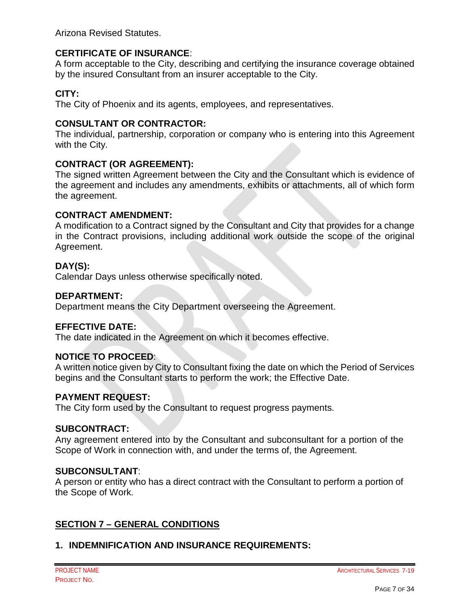Arizona Revised Statutes.

#### **CERTIFICATE OF INSURANCE**:

A form acceptable to the City, describing and certifying the insurance coverage obtained by the insured Consultant from an insurer acceptable to the City.

### **CITY:**

The City of Phoenix and its agents, employees, and representatives.

#### **CONSULTANT OR CONTRACTOR:**

The individual, partnership, corporation or company who is entering into this Agreement with the City.

#### **CONTRACT (OR AGREEMENT):**

The signed written Agreement between the City and the Consultant which is evidence of the agreement and includes any amendments, exhibits or attachments, all of which form the agreement.

#### **CONTRACT AMENDMENT:**

A modification to a Contract signed by the Consultant and City that provides for a change in the Contract provisions, including additional work outside the scope of the original Agreement.

#### **DAY(S):**

Calendar Days unless otherwise specifically noted.

#### **DEPARTMENT:**

Department means the City Department overseeing the Agreement.

#### **EFFECTIVE DATE:**

The date indicated in the Agreement on which it becomes effective.

#### **NOTICE TO PROCEED**:

A written notice given by City to Consultant fixing the date on which the Period of Services begins and the Consultant starts to perform the work; the Effective Date.

#### **PAYMENT REQUEST:**

The City form used by the Consultant to request progress payments.

#### **SUBCONTRACT:**

Any agreement entered into by the Consultant and subconsultant for a portion of the Scope of Work in connection with, and under the terms of, the Agreement.

#### **SUBCONSULTANT**:

A person or entity who has a direct contract with the Consultant to perform a portion of the Scope of Work.

#### <span id="page-7-0"></span>**SECTION 7 – GENERAL CONDITIONS**

#### **1. INDEMNIFICATION AND INSURANCE REQUIREMENTS:**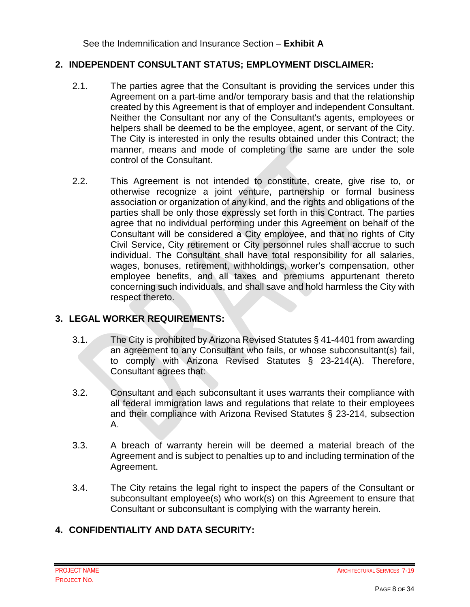See the Indemnification and Insurance Section – **Exhibit A**

#### **2. INDEPENDENT CONSULTANT STATUS; EMPLOYMENT DISCLAIMER:**

- 2.1. The parties agree that the Consultant is providing the services under this Agreement on a part-time and/or temporary basis and that the relationship created by this Agreement is that of employer and independent Consultant. Neither the Consultant nor any of the Consultant's agents, employees or helpers shall be deemed to be the employee, agent, or servant of the City. The City is interested in only the results obtained under this Contract; the manner, means and mode of completing the same are under the sole control of the Consultant.
- 2.2. This Agreement is not intended to constitute, create, give rise to, or otherwise recognize a joint venture, partnership or formal business association or organization of any kind, and the rights and obligations of the parties shall be only those expressly set forth in this Contract. The parties agree that no individual performing under this Agreement on behalf of the Consultant will be considered a City employee, and that no rights of City Civil Service, City retirement or City personnel rules shall accrue to such individual. The Consultant shall have total responsibility for all salaries, wages, bonuses, retirement, withholdings, worker's compensation, other employee benefits, and all taxes and premiums appurtenant thereto concerning such individuals, and shall save and hold harmless the City with respect thereto.

#### **3. LEGAL WORKER REQUIREMENTS:**

- 3.1. The City is prohibited by Arizona Revised Statutes § 41-4401 from awarding an agreement to any Consultant who fails, or whose subconsultant(s) fail, to comply with Arizona Revised Statutes § 23-214(A). Therefore, Consultant agrees that:
- 3.2. Consultant and each subconsultant it uses warrants their compliance with all federal immigration laws and regulations that relate to their employees and their compliance with Arizona Revised Statutes § 23-214, subsection A.
- 3.3. A breach of warranty herein will be deemed a material breach of the Agreement and is subject to penalties up to and including termination of the Agreement.
- 3.4. The City retains the legal right to inspect the papers of the Consultant or subconsultant employee(s) who work(s) on this Agreement to ensure that Consultant or subconsultant is complying with the warranty herein.

#### **4. CONFIDENTIALITY AND DATA SECURITY:**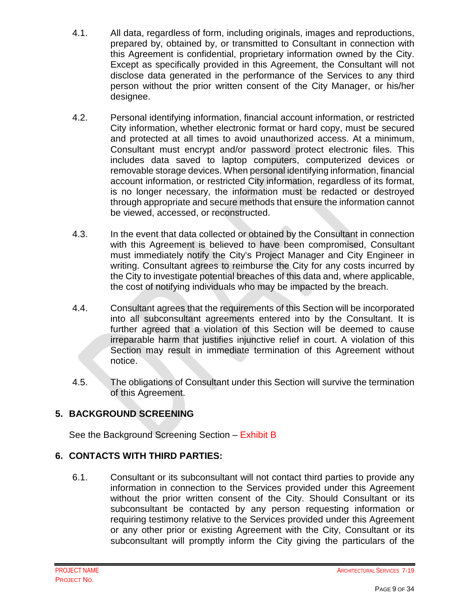- 4.1. All data, regardless of form, including originals, images and reproductions, prepared by, obtained by, or transmitted to Consultant in connection with this Agreement is confidential, proprietary information owned by the City. Except as specifically provided in this Agreement, the Consultant will not disclose data generated in the performance of the Services to any third person without the prior written consent of the City Manager, or his/her designee.
- 4.2. Personal identifying information, financial account information, or restricted City information, whether electronic format or hard copy, must be secured and protected at all times to avoid unauthorized access. At a minimum, Consultant must encrypt and/or password protect electronic files. This includes data saved to laptop computers, computerized devices or removable storage devices. When personal identifying information, financial account information, or restricted City information, regardless of its format, is no longer necessary, the information must be redacted or destroyed through appropriate and secure methods that ensure the information cannot be viewed, accessed, or reconstructed.
- 4.3. In the event that data collected or obtained by the Consultant in connection with this Agreement is believed to have been compromised, Consultant must immediately notify the City's Project Manager and City Engineer in writing. Consultant agrees to reimburse the City for any costs incurred by the City to investigate potential breaches of this data and, where applicable, the cost of notifying individuals who may be impacted by the breach.
- 4.4. Consultant agrees that the requirements of this Section will be incorporated into all subconsultant agreements entered into by the Consultant. It is further agreed that a violation of this Section will be deemed to cause irreparable harm that justifies injunctive relief in court. A violation of this Section may result in immediate termination of this Agreement without notice.
- 4.5. The obligations of Consultant under this Section will survive the termination of this Agreement.

# **5. BACKGROUND SCREENING**

See the Background Screening Section – Exhibit B

## **6. CONTACTS WITH THIRD PARTIES:**

6.1. Consultant or its subconsultant will not contact third parties to provide any information in connection to the Services provided under this Agreement without the prior written consent of the City. Should Consultant or its subconsultant be contacted by any person requesting information or requiring testimony relative to the Services provided under this Agreement or any other prior or existing Agreement with the City, Consultant or its subconsultant will promptly inform the City giving the particulars of the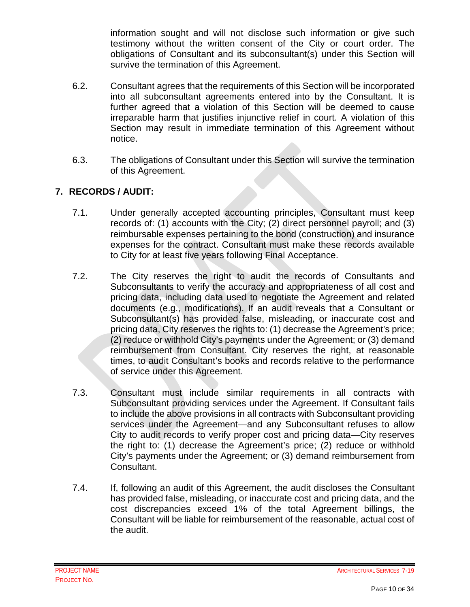information sought and will not disclose such information or give such testimony without the written consent of the City or court order. The obligations of Consultant and its subconsultant(s) under this Section will survive the termination of this Agreement.

- 6.2. Consultant agrees that the requirements of this Section will be incorporated into all subconsultant agreements entered into by the Consultant. It is further agreed that a violation of this Section will be deemed to cause irreparable harm that justifies injunctive relief in court. A violation of this Section may result in immediate termination of this Agreement without notice.
- 6.3. The obligations of Consultant under this Section will survive the termination of this Agreement.

# **7. RECORDS / AUDIT:**

- 7.1. Under generally accepted accounting principles, Consultant must keep records of: (1) accounts with the City; (2) direct personnel payroll; and (3) reimbursable expenses pertaining to the bond (construction) and insurance expenses for the contract. Consultant must make these records available to City for at least five years following Final Acceptance.
- 7.2. The City reserves the right to audit the records of Consultants and Subconsultants to verify the accuracy and appropriateness of all cost and pricing data, including data used to negotiate the Agreement and related documents (e.g., modifications). If an audit reveals that a Consultant or Subconsultant(s) has provided false, misleading, or inaccurate cost and pricing data, City reserves the rights to: (1) decrease the Agreement's price; (2) reduce or withhold City's payments under the Agreement; or (3) demand reimbursement from Consultant. City reserves the right, at reasonable times, to audit Consultant's books and records relative to the performance of service under this Agreement.
- 7.3. Consultant must include similar requirements in all contracts with Subconsultant providing services under the Agreement. If Consultant fails to include the above provisions in all contracts with Subconsultant providing services under the Agreement—and any Subconsultant refuses to allow City to audit records to verify proper cost and pricing data—City reserves the right to: (1) decrease the Agreement's price; (2) reduce or withhold City's payments under the Agreement; or (3) demand reimbursement from Consultant.
- 7.4. If, following an audit of this Agreement, the audit discloses the Consultant has provided false, misleading, or inaccurate cost and pricing data, and the cost discrepancies exceed 1% of the total Agreement billings, the Consultant will be liable for reimbursement of the reasonable, actual cost of the audit.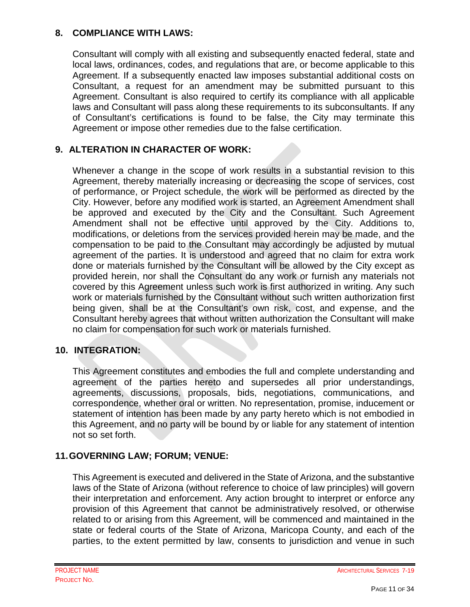### **8. COMPLIANCE WITH LAWS:**

Consultant will comply with all existing and subsequently enacted federal, state and local laws, ordinances, codes, and regulations that are, or become applicable to this Agreement. If a subsequently enacted law imposes substantial additional costs on Consultant, a request for an amendment may be submitted pursuant to this Agreement. Consultant is also required to certify its compliance with all applicable laws and Consultant will pass along these requirements to its subconsultants. If any of Consultant's certifications is found to be false, the City may terminate this Agreement or impose other remedies due to the false certification.

## **9. ALTERATION IN CHARACTER OF WORK:**

Whenever a change in the scope of work results in a substantial revision to this Agreement, thereby materially increasing or decreasing the scope of services, cost of performance, or Project schedule, the work will be performed as directed by the City. However, before any modified work is started, an Agreement Amendment shall be approved and executed by the City and the Consultant. Such Agreement Amendment shall not be effective until approved by the City. Additions to, modifications, or deletions from the services provided herein may be made, and the compensation to be paid to the Consultant may accordingly be adjusted by mutual agreement of the parties. It is understood and agreed that no claim for extra work done or materials furnished by the Consultant will be allowed by the City except as provided herein, nor shall the Consultant do any work or furnish any materials not covered by this Agreement unless such work is first authorized in writing. Any such work or materials furnished by the Consultant without such written authorization first being given, shall be at the Consultant's own risk, cost, and expense, and the Consultant hereby agrees that without written authorization the Consultant will make no claim for compensation for such work or materials furnished.

## **10. INTEGRATION:**

This Agreement constitutes and embodies the full and complete understanding and agreement of the parties hereto and supersedes all prior understandings, agreements, discussions, proposals, bids, negotiations, communications, and correspondence, whether oral or written. No representation, promise, inducement or statement of intention has been made by any party hereto which is not embodied in this Agreement, and no party will be bound by or liable for any statement of intention not so set forth.

#### **11.GOVERNING LAW; FORUM; VENUE:**

This Agreement is executed and delivered in the State of Arizona, and the substantive laws of the State of Arizona (without reference to choice of law principles) will govern their interpretation and enforcement. Any action brought to interpret or enforce any provision of this Agreement that cannot be administratively resolved, or otherwise related to or arising from this Agreement, will be commenced and maintained in the state or federal courts of the State of Arizona, Maricopa County, and each of the parties, to the extent permitted by law, consents to jurisdiction and venue in such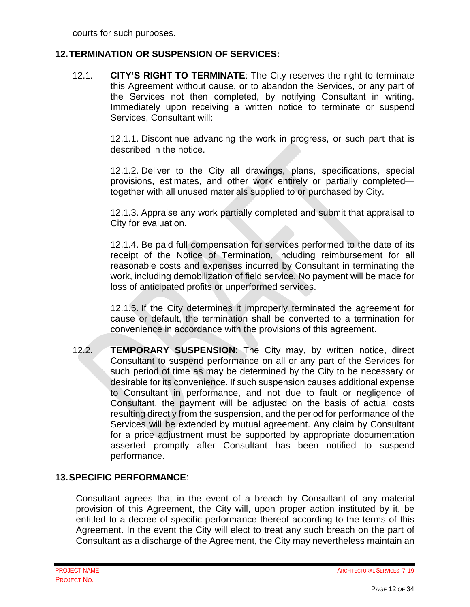courts for such purposes.

#### **12.TERMINATION OR SUSPENSION OF SERVICES:**

12.1. **CITY'S RIGHT TO TERMINATE**: The City reserves the right to terminate this Agreement without cause, or to abandon the Services, or any part of the Services not then completed, by notifying Consultant in writing. Immediately upon receiving a written notice to terminate or suspend Services, Consultant will:

> 12.1.1. Discontinue advancing the work in progress, or such part that is described in the notice.

> 12.1.2. Deliver to the City all drawings, plans, specifications, special provisions, estimates, and other work entirely or partially completed together with all unused materials supplied to or purchased by City.

> 12.1.3. Appraise any work partially completed and submit that appraisal to City for evaluation.

> 12.1.4. Be paid full compensation for services performed to the date of its receipt of the Notice of Termination, including reimbursement for all reasonable costs and expenses incurred by Consultant in terminating the work, including demobilization of field service. No payment will be made for loss of anticipated profits or unperformed services.

> 12.1.5. If the City determines it improperly terminated the agreement for cause or default, the termination shall be converted to a termination for convenience in accordance with the provisions of this agreement.

12.2. **TEMPORARY SUSPENSION**: The City may, by written notice, direct Consultant to suspend performance on all or any part of the Services for such period of time as may be determined by the City to be necessary or desirable for its convenience. If such suspension causes additional expense to Consultant in performance, and not due to fault or negligence of Consultant, the payment will be adjusted on the basis of actual costs resulting directly from the suspension, and the period for performance of the Services will be extended by mutual agreement. Any claim by Consultant for a price adjustment must be supported by appropriate documentation asserted promptly after Consultant has been notified to suspend performance.

#### **13.SPECIFIC PERFORMANCE**:

Consultant agrees that in the event of a breach by Consultant of any material provision of this Agreement, the City will, upon proper action instituted by it, be entitled to a decree of specific performance thereof according to the terms of this Agreement. In the event the City will elect to treat any such breach on the part of Consultant as a discharge of the Agreement, the City may nevertheless maintain an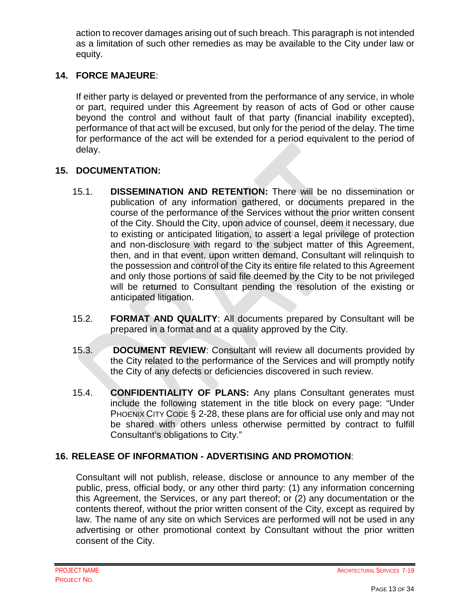action to recover damages arising out of such breach. This paragraph is not intended as a limitation of such other remedies as may be available to the City under law or equity.

### **14. FORCE MAJEURE**:

If either party is delayed or prevented from the performance of any service, in whole or part, required under this Agreement by reason of acts of God or other cause beyond the control and without fault of that party (financial inability excepted), performance of that act will be excused, but only for the period of the delay. The time for performance of the act will be extended for a period equivalent to the period of delay.

## **15. DOCUMENTATION:**

- 15.1. **DISSEMINATION AND RETENTION:** There will be no dissemination or publication of any information gathered, or documents prepared in the course of the performance of the Services without the prior written consent of the City. Should the City, upon advice of counsel, deem it necessary, due to existing or anticipated litigation, to assert a legal privilege of protection and non-disclosure with regard to the subject matter of this Agreement, then, and in that event, upon written demand, Consultant will relinquish to the possession and control of the City its entire file related to this Agreement and only those portions of said file deemed by the City to be not privileged will be returned to Consultant pending the resolution of the existing or anticipated litigation.
- 15.2. **FORMAT AND QUALITY**: All documents prepared by Consultant will be prepared in a format and at a quality approved by the City.
- 15.3. **DOCUMENT REVIEW**: Consultant will review all documents provided by the City related to the performance of the Services and will promptly notify the City of any defects or deficiencies discovered in such review.
- 15.4. **CONFIDENTIALITY OF PLANS:** Any plans Consultant generates must include the following statement in the title block on every page: "Under PHOENIX CITY CODE § 2-28, these plans are for official use only and may not be shared with others unless otherwise permitted by contract to fulfill Consultant's obligations to City."

#### **16. RELEASE OF INFORMATION - ADVERTISING AND PROMOTION**:

Consultant will not publish, release, disclose or announce to any member of the public, press, official body, or any other third party: (1) any information concerning this Agreement, the Services, or any part thereof; or (2) any documentation or the contents thereof, without the prior written consent of the City, except as required by law. The name of any site on which Services are performed will not be used in any advertising or other promotional context by Consultant without the prior written consent of the City.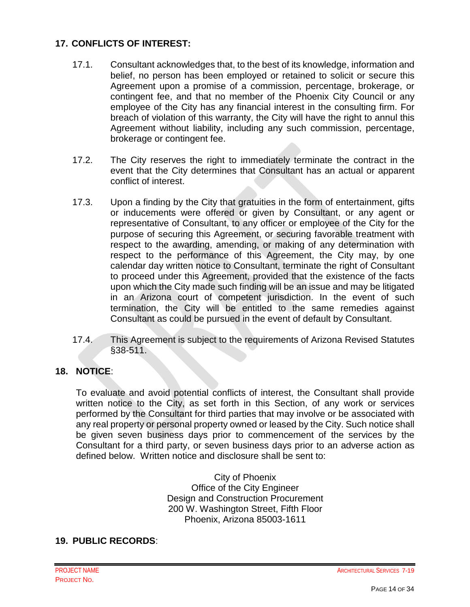### **17. CONFLICTS OF INTEREST:**

- 17.1. Consultant acknowledges that, to the best of its knowledge, information and belief, no person has been employed or retained to solicit or secure this Agreement upon a promise of a commission, percentage, brokerage, or contingent fee, and that no member of the Phoenix City Council or any employee of the City has any financial interest in the consulting firm. For breach of violation of this warranty, the City will have the right to annul this Agreement without liability, including any such commission, percentage, brokerage or contingent fee.
- 17.2. The City reserves the right to immediately terminate the contract in the event that the City determines that Consultant has an actual or apparent conflict of interest.
- 17.3. Upon a finding by the City that gratuities in the form of entertainment, gifts or inducements were offered or given by Consultant, or any agent or representative of Consultant, to any officer or employee of the City for the purpose of securing this Agreement, or securing favorable treatment with respect to the awarding, amending, or making of any determination with respect to the performance of this Agreement, the City may, by one calendar day written notice to Consultant, terminate the right of Consultant to proceed under this Agreement, provided that the existence of the facts upon which the City made such finding will be an issue and may be litigated in an Arizona court of competent jurisdiction. In the event of such termination, the City will be entitled to the same remedies against Consultant as could be pursued in the event of default by Consultant.
- 17.4. This Agreement is subject to the requirements of Arizona Revised Statutes §38-511.

#### **18. NOTICE**:

To evaluate and avoid potential conflicts of interest, the Consultant shall provide written notice to the City, as set forth in this Section, of any work or services performed by the Consultant for third parties that may involve or be associated with any real property or personal property owned or leased by the City. Such notice shall be given seven business days prior to commencement of the services by the Consultant for a third party, or seven business days prior to an adverse action as defined below. Written notice and disclosure shall be sent to:

> City of Phoenix Office of the City Engineer Design and Construction Procurement 200 W. Washington Street, Fifth Floor Phoenix, Arizona 85003-1611

#### **19. PUBLIC RECORDS**: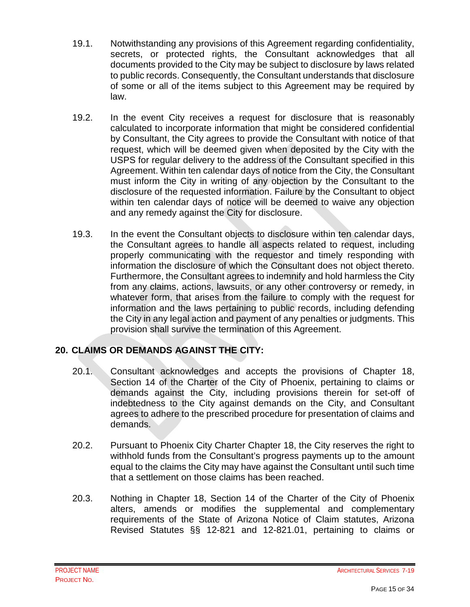- 19.1. Notwithstanding any provisions of this Agreement regarding confidentiality, secrets, or protected rights, the Consultant acknowledges that all documents provided to the City may be subject to disclosure by laws related to public records. Consequently, the Consultant understands that disclosure of some or all of the items subject to this Agreement may be required by law.
- 19.2. In the event City receives a request for disclosure that is reasonably calculated to incorporate information that might be considered confidential by Consultant, the City agrees to provide the Consultant with notice of that request, which will be deemed given when deposited by the City with the USPS for regular delivery to the address of the Consultant specified in this Agreement. Within ten calendar days of notice from the City, the Consultant must inform the City in writing of any objection by the Consultant to the disclosure of the requested information. Failure by the Consultant to object within ten calendar days of notice will be deemed to waive any objection and any remedy against the City for disclosure.
- 19.3. In the event the Consultant objects to disclosure within ten calendar days, the Consultant agrees to handle all aspects related to request, including properly communicating with the requestor and timely responding with information the disclosure of which the Consultant does not object thereto. Furthermore, the Consultant agrees to indemnify and hold harmless the City from any claims, actions, lawsuits, or any other controversy or remedy, in whatever form, that arises from the failure to comply with the request for information and the laws pertaining to public records, including defending the City in any legal action and payment of any penalties or judgments. This provision shall survive the termination of this Agreement.

# **20. CLAIMS OR DEMANDS AGAINST THE CITY:**

- 20.1. Consultant acknowledges and accepts the provisions of Chapter 18, Section 14 of the Charter of the City of Phoenix, pertaining to claims or demands against the City, including provisions therein for set-off of indebtedness to the City against demands on the City, and Consultant agrees to adhere to the prescribed procedure for presentation of claims and demands.
- 20.2. Pursuant to Phoenix City Charter Chapter 18, the City reserves the right to withhold funds from the Consultant's progress payments up to the amount equal to the claims the City may have against the Consultant until such time that a settlement on those claims has been reached.
- 20.3. Nothing in Chapter 18, Section 14 of the Charter of the City of Phoenix alters, amends or modifies the supplemental and complementary requirements of the State of Arizona Notice of Claim statutes, Arizona Revised Statutes §§ 12-821 and 12-821.01, pertaining to claims or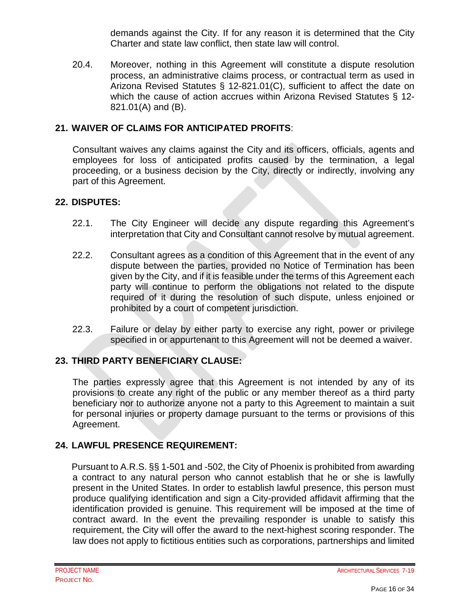demands against the City. If for any reason it is determined that the City Charter and state law conflict, then state law will control.

20.4. Moreover, nothing in this Agreement will constitute a dispute resolution process, an administrative claims process, or contractual term as used in Arizona Revised Statutes § 12-821.01(C), sufficient to affect the date on which the cause of action accrues within Arizona Revised Statutes § 12- 821.01(A) and (B).

### **21. WAIVER OF CLAIMS FOR ANTICIPATED PROFITS**:

Consultant waives any claims against the City and its officers, officials, agents and employees for loss of anticipated profits caused by the termination, a legal proceeding, or a business decision by the City, directly or indirectly, involving any part of this Agreement.

#### **22. DISPUTES:**

- 22.1. The City Engineer will decide any dispute regarding this Agreement's interpretation that City and Consultant cannot resolve by mutual agreement.
- 22.2. Consultant agrees as a condition of this Agreement that in the event of any dispute between the parties, provided no Notice of Termination has been given by the City, and if it is feasible under the terms of this Agreement each party will continue to perform the obligations not related to the dispute required of it during the resolution of such dispute, unless enjoined or prohibited by a court of competent jurisdiction.
- 22.3. Failure or delay by either party to exercise any right, power or privilege specified in or appurtenant to this Agreement will not be deemed a waiver.

#### **23. THIRD PARTY BENEFICIARY CLAUSE:**

The parties expressly agree that this Agreement is not intended by any of its provisions to create any right of the public or any member thereof as a third party beneficiary nor to authorize anyone not a party to this Agreement to maintain a suit for personal injuries or property damage pursuant to the terms or provisions of this Agreement.

#### **24. LAWFUL PRESENCE REQUIREMENT:**

Pursuant to A.R.S. §§ 1-501 and -502, the City of Phoenix is prohibited from awarding a contract to any natural person who cannot establish that he or she is lawfully present in the United States. In order to establish lawful presence, this person must produce qualifying identification and sign a City-provided affidavit affirming that the identification provided is genuine. This requirement will be imposed at the time of contract award. In the event the prevailing responder is unable to satisfy this requirement, the City will offer the award to the next-highest scoring responder. The law does not apply to fictitious entities such as corporations, partnerships and limited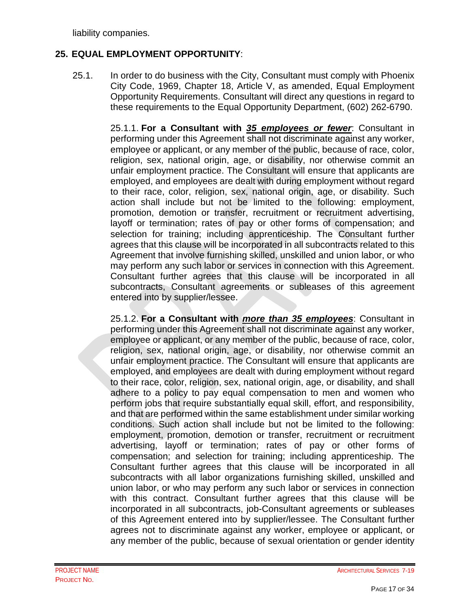liability companies.

### **25. EQUAL EMPLOYMENT OPPORTUNITY**:

25.1. In order to do business with the City, Consultant must comply with Phoenix City Code, 1969, Chapter 18, Article V, as amended, Equal Employment Opportunity Requirements. Consultant will direct any questions in regard to these requirements to the Equal Opportunity Department, (602) 262-6790.

> 25.1.1. **For a Consultant with** *35 employees or fewer*: Consultant in performing under this Agreement shall not discriminate against any worker, employee or applicant, or any member of the public, because of race, color, religion, sex, national origin, age, or disability, nor otherwise commit an unfair employment practice. The Consultant will ensure that applicants are employed, and employees are dealt with during employment without regard to their race, color, religion, sex, national origin, age, or disability. Such action shall include but not be limited to the following: employment, promotion, demotion or transfer, recruitment or recruitment advertising, layoff or termination; rates of pay or other forms of compensation; and selection for training; including apprenticeship. The Consultant further agrees that this clause will be incorporated in all subcontracts related to this Agreement that involve furnishing skilled, unskilled and union labor, or who may perform any such labor or services in connection with this Agreement. Consultant further agrees that this clause will be incorporated in all subcontracts, Consultant agreements or subleases of this agreement entered into by supplier/lessee.

> 25.1.2. **For a Consultant with** *more than 35 employees*: Consultant in performing under this Agreement shall not discriminate against any worker, employee or applicant, or any member of the public, because of race, color, religion, sex, national origin, age, or disability, nor otherwise commit an unfair employment practice. The Consultant will ensure that applicants are employed, and employees are dealt with during employment without regard to their race, color, religion, sex, national origin, age, or disability, and shall adhere to a policy to pay equal compensation to men and women who perform jobs that require substantially equal skill, effort, and responsibility, and that are performed within the same establishment under similar working conditions. Such action shall include but not be limited to the following: employment, promotion, demotion or transfer, recruitment or recruitment advertising, layoff or termination; rates of pay or other forms of compensation; and selection for training; including apprenticeship. The Consultant further agrees that this clause will be incorporated in all subcontracts with all labor organizations furnishing skilled, unskilled and union labor, or who may perform any such labor or services in connection with this contract. Consultant further agrees that this clause will be incorporated in all subcontracts, job-Consultant agreements or subleases of this Agreement entered into by supplier/lessee. The Consultant further agrees not to discriminate against any worker, employee or applicant, or any member of the public, because of sexual orientation or gender identity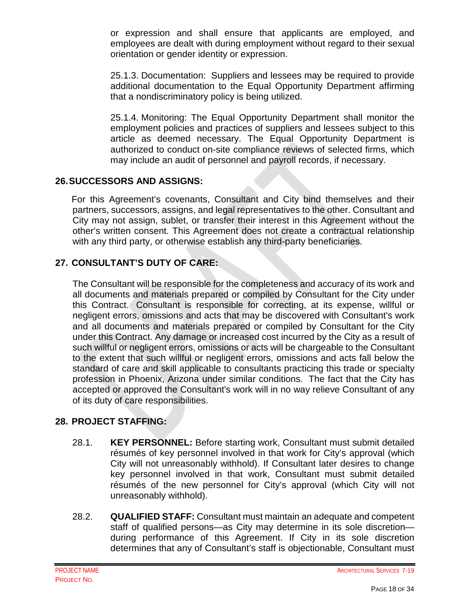or expression and shall ensure that applicants are employed, and employees are dealt with during employment without regard to their sexual orientation or gender identity or expression.

25.1.3. Documentation: Suppliers and lessees may be required to provide additional documentation to the Equal Opportunity Department affirming that a nondiscriminatory policy is being utilized.

25.1.4. Monitoring: The Equal Opportunity Department shall monitor the employment policies and practices of suppliers and lessees subject to this article as deemed necessary. The Equal Opportunity Department is authorized to conduct on-site compliance reviews of selected firms, which may include an audit of personnel and payroll records, if necessary.

### **26.SUCCESSORS AND ASSIGNS:**

For this Agreement's covenants, Consultant and City bind themselves and their partners, successors, assigns, and legal representatives to the other. Consultant and City may not assign, sublet, or transfer their interest in this Agreement without the other's written consent. This Agreement does not create a contractual relationship with any third party, or otherwise establish any third-party beneficiaries.

## **27. CONSULTANT'S DUTY OF CARE:**

The Consultant will be responsible for the completeness and accuracy of its work and all documents and materials prepared or compiled by Consultant for the City under this Contract. Consultant is responsible for correcting, at its expense, willful or negligent errors, omissions and acts that may be discovered with Consultant's work and all documents and materials prepared or compiled by Consultant for the City under this Contract. Any damage or increased cost incurred by the City as a result of such willful or negligent errors, omissions or acts will be chargeable to the Consultant to the extent that such willful or negligent errors, omissions and acts fall below the standard of care and skill applicable to consultants practicing this trade or specialty profession in Phoenix, Arizona under similar conditions. The fact that the City has accepted or approved the Consultant's work will in no way relieve Consultant of any of its duty of care responsibilities.

## **28. PROJECT STAFFING:**

- 28.1. **KEY PERSONNEL:** Before starting work, Consultant must submit detailed résumés of key personnel involved in that work for City's approval (which City will not unreasonably withhold). If Consultant later desires to change key personnel involved in that work, Consultant must submit detailed résumés of the new personnel for City's approval (which City will not unreasonably withhold).
- 28.2. **QUALIFIED STAFF:** Consultant must maintain an adequate and competent staff of qualified persons—as City may determine in its sole discretion during performance of this Agreement. If City in its sole discretion determines that any of Consultant's staff is objectionable, Consultant must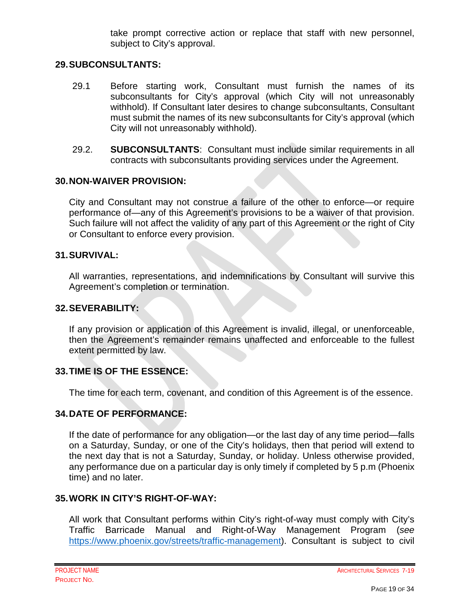take prompt corrective action or replace that staff with new personnel, subject to City's approval.

#### **29.SUBCONSULTANTS:**

- 29.1 Before starting work, Consultant must furnish the names of its subconsultants for City's approval (which City will not unreasonably withhold). If Consultant later desires to change subconsultants, Consultant must submit the names of its new subconsultants for City's approval (which City will not unreasonably withhold).
- 29.2. **SUBCONSULTANTS**: Consultant must include similar requirements in all contracts with subconsultants providing services under the Agreement.

#### **30.NON-WAIVER PROVISION:**

City and Consultant may not construe a failure of the other to enforce—or require performance of—any of this Agreement's provisions to be a waiver of that provision. Such failure will not affect the validity of any part of this Agreement or the right of City or Consultant to enforce every provision.

#### **31.SURVIVAL:**

All warranties, representations, and indemnifications by Consultant will survive this Agreement's completion or termination.

#### **32.SEVERABILITY:**

If any provision or application of this Agreement is invalid, illegal, or unenforceable, then the Agreement's remainder remains unaffected and enforceable to the fullest extent permitted by law.

#### **33.TIME IS OF THE ESSENCE:**

The time for each term, covenant, and condition of this Agreement is of the essence.

## **34.DATE OF PERFORMANCE:**

If the date of performance for any obligation—or the last day of any time period—falls on a Saturday, Sunday, or one of the City's holidays, then that period will extend to the next day that is not a Saturday, Sunday, or holiday. Unless otherwise provided, any performance due on a particular day is only timely if completed by 5 p.m (Phoenix time) and no later.

#### **35.WORK IN CITY'S RIGHT-OF-WAY:**

All work that Consultant performs within City's right-of-way must comply with City's Traffic Barricade Manual and Right-of-Way Management Program (*see* [https://www.phoenix.gov/streets/traffic-management\)](https://www.phoenix.gov/streets/traffic-management). Consultant is subject to civil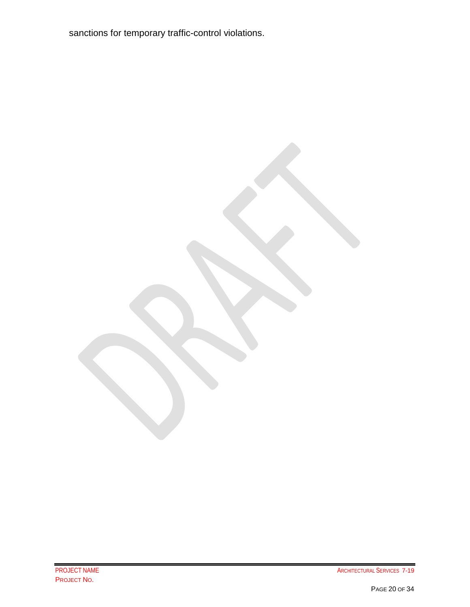sanctions for temporary traffic-control violations.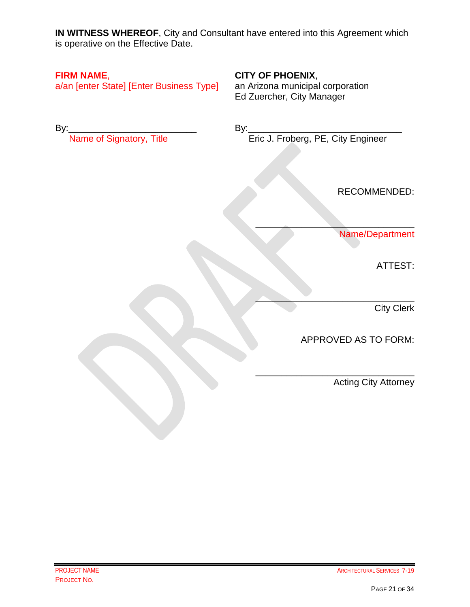**IN WITNESS WHEREOF**, City and Consultant have entered into this Agreement which is operative on the Effective Date.

a/an [enter State] [Enter Business Type]

# **FIRM NAME,**<br>
a/an [enter State] [Enter Business Type] an Arizona municipal corporation Ed Zuercher, City Manager

By:\_\_\_\_\_\_\_\_\_\_\_\_\_\_\_\_\_\_\_\_\_\_\_\_\_ By:\_\_\_\_\_\_\_\_\_\_\_\_\_\_\_\_\_\_\_\_\_\_\_\_\_\_\_\_\_\_ Name of Signatory, Title **Eric State Eric J. Froberg, PE, City Engineer** 

RECOMMENDED:

 $\overline{\phantom{a}}$  , and the set of the set of the set of the set of the set of the set of the set of the set of the set of the set of the set of the set of the set of the set of the set of the set of the set of the set of the s Name/Department

ATTEST:

 $\overline{\phantom{a}}$ **City Clerk** 

APPROVED AS TO FORM:

\_\_\_\_\_\_\_\_\_\_\_\_\_\_\_\_\_\_\_\_\_\_\_\_\_\_\_\_\_\_\_

Acting City Attorney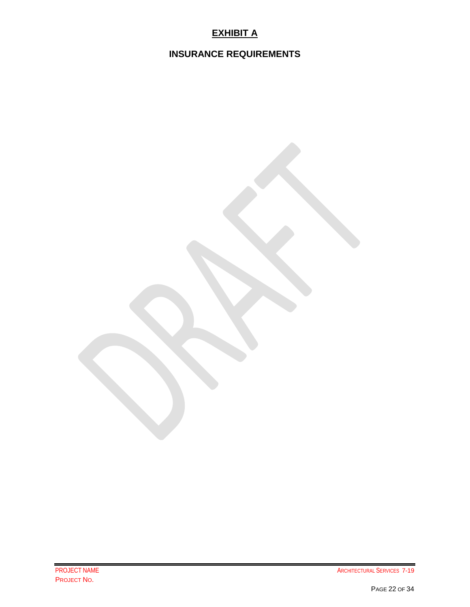# **EXHIBIT A**

# <span id="page-22-0"></span>**INSURANCE REQUIREMENTS**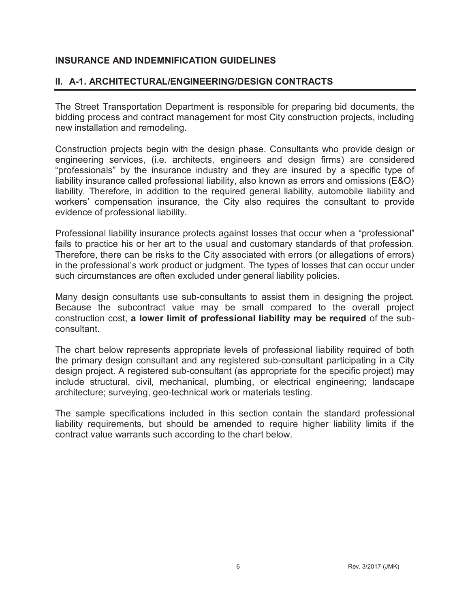#### **INSURANCE AND INDEMNIFICATION GUIDELINES**

### **II. A-1. ARCHITECTURAL/ENGINEERING/DESIGN CONTRACTS**

The Street Transportation Department is responsible for preparing bid documents, the bidding process and contract management for most City construction projects, including new installation and remodeling.

Construction projects begin with the design phase. Consultants who provide design or engineering services, (i.e. architects, engineers and design firms) are considered "professionals" by the insurance industry and they are insured by a specific type of liability insurance called professional liability, also known as errors and omissions (E&O) liability. Therefore, in addition to the required general liability, automobile liability and workers' compensation insurance, the City also requires the consultant to provide evidence of professional liability.

Professional liability insurance protects against losses that occur when a "professional" fails to practice his or her art to the usual and customary standards of that profession. Therefore, there can be risks to the City associated with errors (or allegations of errors) in the professional's work product or judgment. The types of losses that can occur under such circumstances are often excluded under general liability policies.

Many design consultants use sub-consultants to assist them in designing the project. Because the subcontract value may be small compared to the overall project construction cost, **a lower limit of professional liability may be required** of the subconsultant.

The chart below represents appropriate levels of professional liability required of both the primary design consultant and any registered sub-consultant participating in a City design project. A registered sub-consultant (as appropriate for the specific project) may include structural, civil, mechanical, plumbing, or electrical engineering; landscape architecture; surveying, geo-technical work or materials testing.

The sample specifications included in this section contain the standard professional liability requirements, but should be amended to require higher liability limits if the contract value warrants such according to the chart below.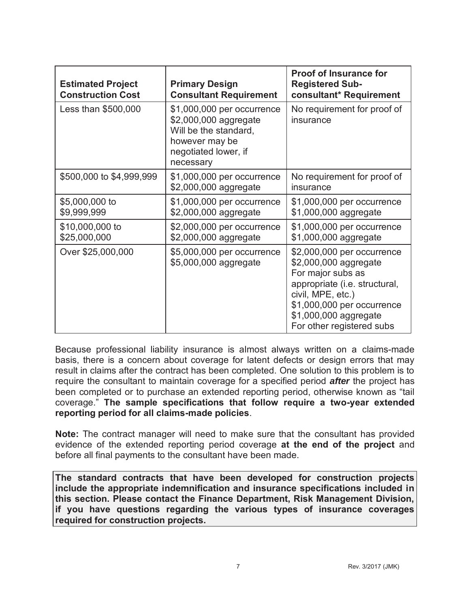| <b>Estimated Project</b><br><b>Construction Cost</b> | <b>Primary Design</b><br><b>Consultant Requirement</b>                                                                              | <b>Proof of Insurance for</b><br><b>Registered Sub-</b><br>consultant* Requirement                                                                                                                                 |
|------------------------------------------------------|-------------------------------------------------------------------------------------------------------------------------------------|--------------------------------------------------------------------------------------------------------------------------------------------------------------------------------------------------------------------|
| Less than \$500,000                                  | \$1,000,000 per occurrence<br>\$2,000,000 aggregate<br>Will be the standard,<br>however may be<br>negotiated lower, if<br>necessary | No requirement for proof of<br>insurance                                                                                                                                                                           |
| \$500,000 to \$4,999,999                             | \$1,000,000 per occurrence<br>\$2,000,000 aggregate                                                                                 | No requirement for proof of<br>insurance                                                                                                                                                                           |
| \$5,000,000 to<br>\$9,999,999                        | \$1,000,000 per occurrence<br>\$2,000,000 aggregate                                                                                 | \$1,000,000 per occurrence<br>\$1,000,000 aggregate                                                                                                                                                                |
| \$10,000,000 to<br>\$25,000,000                      | \$2,000,000 per occurrence<br>\$2,000,000 aggregate                                                                                 | \$1,000,000 per occurrence<br>\$1,000,000 aggregate                                                                                                                                                                |
| Over \$25,000,000                                    | \$5,000,000 per occurrence<br>\$5,000,000 aggregate                                                                                 | \$2,000,000 per occurrence<br>\$2,000,000 aggregate<br>For major subs as<br>appropriate (i.e. structural,<br>civil, MPE, etc.)<br>\$1,000,000 per occurrence<br>\$1,000,000 aggregate<br>For other registered subs |

Because professional liability insurance is almost always written on a claims-made basis, there is a concern about coverage for latent defects or design errors that may result in claims after the contract has been completed. One solution to this problem is to require the consultant to maintain coverage for a specified period *after* the project has been completed or to purchase an extended reporting period, otherwise known as "tail coverage." **The sample specifications that follow require a two-year extended reporting period for all claims-made policies**.

**Note:** The contract manager will need to make sure that the consultant has provided evidence of the extended reporting period coverage **at the end of the project** and before all final payments to the consultant have been made.

**The standard contracts that have been developed for construction projects include the appropriate indemnification and insurance specifications included in this section. Please contact the Finance Department, Risk Management Division, if you have questions regarding the various types of insurance coverages required for construction projects.**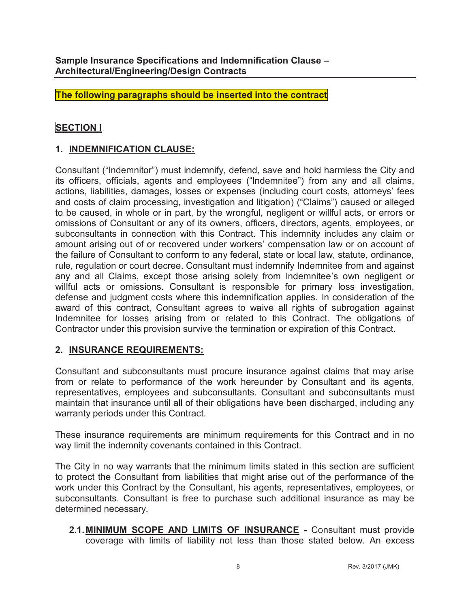**Sample Insurance Specifications and Indemnification Clause – Architectural/Engineering/Design Contracts** 

**The following paragraphs should be inserted into the contract** 

# **SECTION I**

### **1. INDEMNIFICATION CLAUSE:**

Consultant ("Indemnitor") must indemnify, defend, save and hold harmless the City and its officers, officials, agents and employees ("Indemnitee") from any and all claims, actions, liabilities, damages, losses or expenses (including court costs, attorneys' fees and costs of claim processing, investigation and litigation) ("Claims") caused or alleged to be caused, in whole or in part, by the wrongful, negligent or willful acts, or errors or omissions of Consultant or any of its owners, officers, directors, agents, employees, or subconsultants in connection with this Contract. This indemnity includes any claim or amount arising out of or recovered under workers' compensation law or on account of the failure of Consultant to conform to any federal, state or local law, statute, ordinance, rule, regulation or court decree. Consultant must indemnify Indemnitee from and against any and all Claims, except those arising solely from Indemnitee's own negligent or willful acts or omissions. Consultant is responsible for primary loss investigation, defense and judgment costs where this indemnification applies. In consideration of the award of this contract, Consultant agrees to waive all rights of subrogation against Indemnitee for losses arising from or related to this Contract. The obligations of Contractor under this provision survive the termination or expiration of this Contract.

#### **2. INSURANCE REQUIREMENTS:**

Consultant and subconsultants must procure insurance against claims that may arise from or relate to performance of the work hereunder by Consultant and its agents, representatives, employees and subconsultants. Consultant and subconsultants must maintain that insurance until all of their obligations have been discharged, including any warranty periods under this Contract.

These insurance requirements are minimum requirements for this Contract and in no way limit the indemnity covenants contained in this Contract.

The City in no way warrants that the minimum limits stated in this section are sufficient to protect the Consultant from liabilities that might arise out of the performance of the work under this Contract by the Consultant, his agents, representatives, employees, or subconsultants. Consultant is free to purchase such additional insurance as may be determined necessary.

**2.1. MINIMUM SCOPE AND LIMITS OF INSURANCE -** Consultant must provide coverage with limits of liability not less than those stated below. An excess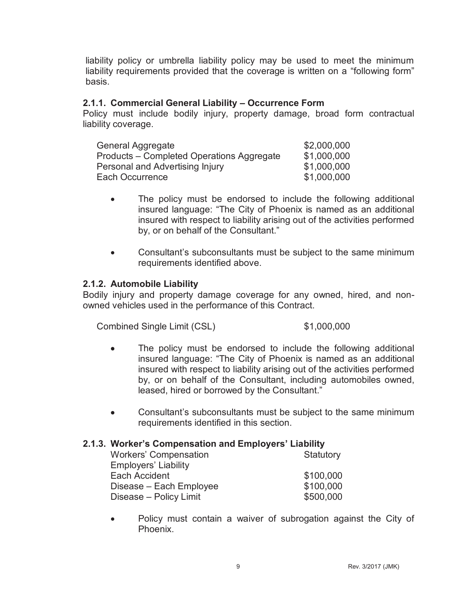liability policy or umbrella liability policy may be used to meet the minimum liability requirements provided that the coverage is written on a "following form" basis.

#### **2.1.1. Commercial General Liability – Occurrence Form**

Policy must include bodily injury, property damage, broad form contractual liability coverage.

| General Aggregate                         | \$2,000,000 |
|-------------------------------------------|-------------|
| Products – Completed Operations Aggregate | \$1,000,000 |
| Personal and Advertising Injury           | \$1,000,000 |
| Each Occurrence                           | \$1,000,000 |

- The policy must be endorsed to include the following additional insured language: "The City of Phoenix is named as an additional insured with respect to liability arising out of the activities performed by, or on behalf of the Consultant."
- Consultant's subconsultants must be subject to the same minimum requirements identified above.

#### **2.1.2. Automobile Liability**

Bodily injury and property damage coverage for any owned, hired, and nonowned vehicles used in the performance of this Contract.

Combined Single Limit (CSL) \$1,000,000

- The policy must be endorsed to include the following additional insured language: "The City of Phoenix is named as an additional insured with respect to liability arising out of the activities performed by, or on behalf of the Consultant, including automobiles owned, leased, hired or borrowed by the Consultant."
- Consultant's subconsultants must be subject to the same minimum requirements identified in this section.

#### **2.1.3. Worker's Compensation and Employers' Liability**

| <b>Workers' Compensation</b> | Statutory |
|------------------------------|-----------|
| <b>Employers' Liability</b>  |           |
| Each Accident                | \$100,000 |
| Disease - Each Employee      | \$100,000 |
| Disease - Policy Limit       | \$500,000 |

Policy must contain a waiver of subrogation against the City of Phoenix.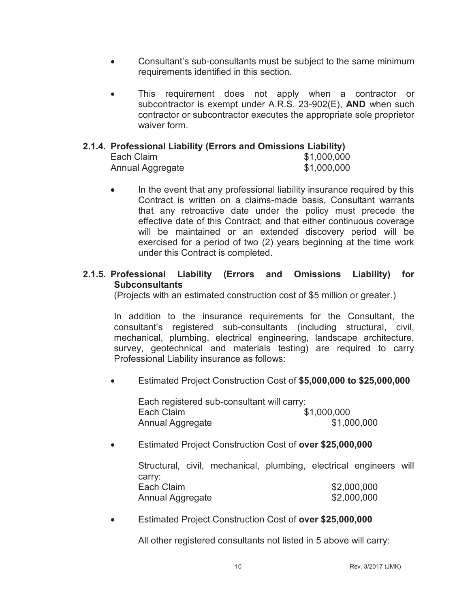- Consultant's sub-consultants must be subject to the same minimum requirements identified in this section.
- This requirement does not apply when a contractor or subcontractor is exempt under A.R.S. 23-902(E), **AND** when such contractor or subcontractor executes the appropriate sole proprietor waiver form.

#### **2.1.4. Professional Liability (Errors and Omissions Liability)**

| Each Claim       | \$1,000,000 |
|------------------|-------------|
| Annual Aggregate | \$1,000,000 |

In the event that any professional liability insurance required by this Contract is written on a claims-made basis, Consultant warrants that any retroactive date under the policy must precede the effective date of this Contract; and that either continuous coverage will be maintained or an extended discovery period will be exercised for a period of two (2) years beginning at the time work under this Contract is completed.

#### **2.1.5. Professional Liability (Errors and Omissions Liability) for Subconsultants**

(Projects with an estimated construction cost of \$5 million or greater.)

 In addition to the insurance requirements for the Consultant, the consultant's registered sub-consultants (including structural, civil, mechanical, plumbing, electrical engineering, landscape architecture, survey, geotechnical and materials testing) are required to carry Professional Liability insurance as follows:

x Estimated Project Construction Cost of **\$5,000,000 to \$25,000,000**

Each registered sub-consultant will carry: Each Claim  $$1,000,000$ Annual Aggregate \$1,000,000

#### **Estimated Project Construction Cost of over \$25,000,000**

Structural, civil, mechanical, plumbing, electrical engineers will carry: Each Claim **\$2,000,000** Annual Aggregate  $$2,000,000$ 

x Estimated Project Construction Cost of **over \$25,000,000**

All other registered consultants not listed in 5 above will carry: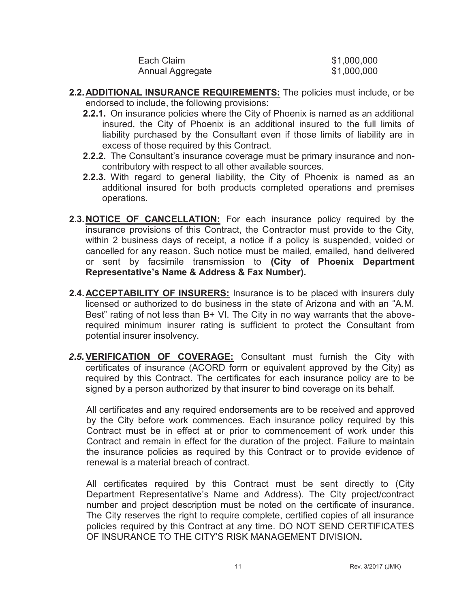| Each Claim       | \$1,000,000 |
|------------------|-------------|
| Annual Aggregate | \$1,000,000 |

- **2.2. ADDITIONAL INSURANCE REQUIREMENTS:** The policies must include, or be endorsed to include, the following provisions:
	- **2.2.1.** On insurance policies where the City of Phoenix is named as an additional insured, the City of Phoenix is an additional insured to the full limits of liability purchased by the Consultant even if those limits of liability are in excess of those required by this Contract.
	- **2.2.2.** The Consultant's insurance coverage must be primary insurance and noncontributory with respect to all other available sources.
	- **2.2.3.** With regard to general liability, the City of Phoenix is named as an additional insured for both products completed operations and premises operations.
- **2.3. NOTICE OF CANCELLATION:** For each insurance policy required by the insurance provisions of this Contract, the Contractor must provide to the City, within 2 business days of receipt, a notice if a policy is suspended, voided or cancelled for any reason. Such notice must be mailed, emailed, hand delivered or sent by facsimile transmission to **(City of Phoenix Department Representative's Name & Address & Fax Number).**
- **2.4. ACCEPTABILITY OF INSURERS:** Insurance is to be placed with insurers duly licensed or authorized to do business in the state of Arizona and with an "A.M. Best" rating of not less than B+ VI. The City in no way warrants that the aboverequired minimum insurer rating is sufficient to protect the Consultant from potential insurer insolvency.
- 2.5. VERIFICATION OF COVERAGE: Consultant must furnish the City with certificates of insurance (ACORD form or equivalent approved by the City) as required by this Contract. The certificates for each insurance policy are to be signed by a person authorized by that insurer to bind coverage on its behalf*.*

All certificates and any required endorsements are to be received and approved by the City before work commences. Each insurance policy required by this Contract must be in effect at or prior to commencement of work under this Contract and remain in effect for the duration of the project. Failure to maintain the insurance policies as required by this Contract or to provide evidence of renewal is a material breach of contract.

All certificates required by this Contract must be sent directly to (City Department Representative's Name and Address). The City project/contract number and project description must be noted on the certificate of insurance. The City reserves the right to require complete, certified copies of all insurance policies required by this Contract at any time. DO NOT SEND CERTIFICATES OF INSURANCE TO THE CITY'S RISK MANAGEMENT DIVISION**.**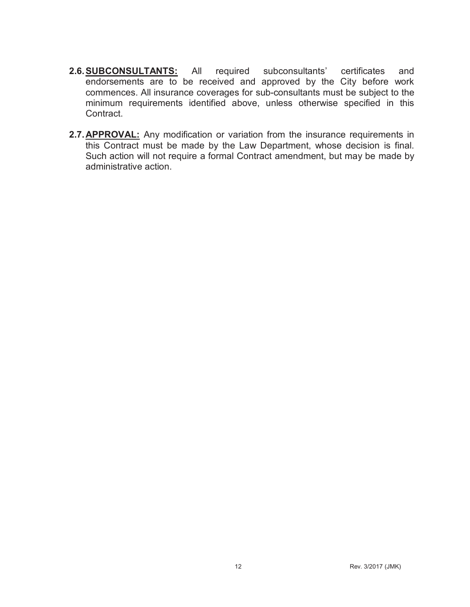- **2.6. SUBCONSULTANTS:** All required subconsultants' certificates and endorsements are to be received and approved by the City before work commences. All insurance coverages for sub-consultants must be subject to the minimum requirements identified above, unless otherwise specified in this Contract.
- **2.7. APPROVAL:** Any modification or variation from the insurance requirements in this Contract must be made by the Law Department, whose decision is final. Such action will not require a formal Contract amendment, but may be made by administrative action.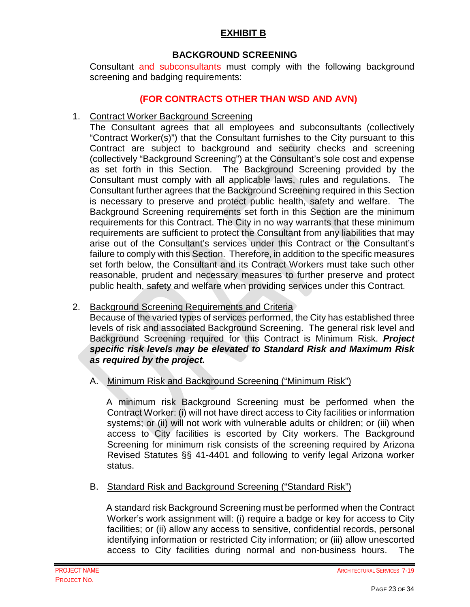# **EXHIBIT B**

### **BACKGROUND SCREENING**

<span id="page-30-0"></span>Consultant and subconsultants must comply with the following background screening and badging requirements:

### **(FOR CONTRACTS OTHER THAN WSD AND AVN)**

### 1. Contract Worker Background Screening

The Consultant agrees that all employees and subconsultants (collectively "Contract Worker(s)") that the Consultant furnishes to the City pursuant to this Contract are subject to background and security checks and screening (collectively "Background Screening") at the Consultant's sole cost and expense as set forth in this Section. The Background Screening provided by the Consultant must comply with all applicable laws, rules and regulations. The Consultant further agrees that the Background Screening required in this Section is necessary to preserve and protect public health, safety and welfare. The Background Screening requirements set forth in this Section are the minimum requirements for this Contract. The City in no way warrants that these minimum requirements are sufficient to protect the Consultant from any liabilities that may arise out of the Consultant's services under this Contract or the Consultant's failure to comply with this Section. Therefore, in addition to the specific measures set forth below, the Consultant and its Contract Workers must take such other reasonable, prudent and necessary measures to further preserve and protect public health, safety and welfare when providing services under this Contract.

### 2. Background Screening Requirements and Criteria

Because of the varied types of services performed, the City has established three levels of risk and associated Background Screening. The general risk level and Background Screening required for this Contract is Minimum Risk. *Project specific risk levels may be elevated to Standard Risk and Maximum Risk as required by the project.*

A. Minimum Risk and Background Screening ("Minimum Risk")

A minimum risk Background Screening must be performed when the Contract Worker: (i) will not have direct access to City facilities or information systems; or (ii) will not work with vulnerable adults or children; or (iii) when access to City facilities is escorted by City workers. The Background Screening for minimum risk consists of the screening required by Arizona Revised Statutes §§ 41-4401 and following to verify legal Arizona worker status.

#### B. Standard Risk and Background Screening ("Standard Risk")

A standard risk Background Screening must be performed when the Contract Worker's work assignment will: (i) require a badge or key for access to City facilities; or (ii) allow any access to sensitive, confidential records, personal identifying information or restricted City information; or (iii) allow unescorted access to City facilities during normal and non-business hours. The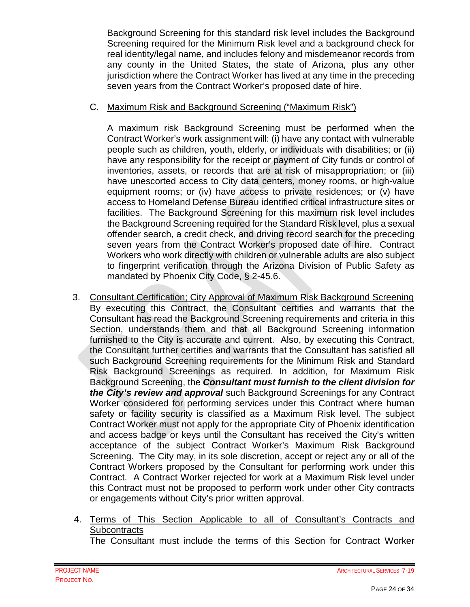Background Screening for this standard risk level includes the Background Screening required for the Minimum Risk level and a background check for real identity/legal name, and includes felony and misdemeanor records from any county in the United States, the state of Arizona, plus any other jurisdiction where the Contract Worker has lived at any time in the preceding seven years from the Contract Worker's proposed date of hire.

### C. Maximum Risk and Background Screening ("Maximum Risk")

A maximum risk Background Screening must be performed when the Contract Worker's work assignment will: (i) have any contact with vulnerable people such as children, youth, elderly, or individuals with disabilities; or (ii) have any responsibility for the receipt or payment of City funds or control of inventories, assets, or records that are at risk of misappropriation; or (iii) have unescorted access to City data centers, money rooms, or high-value equipment rooms; or (iv) have access to private residences; or (v) have access to Homeland Defense Bureau identified critical infrastructure sites or facilities. The Background Screening for this maximum risk level includes the Background Screening required for the Standard Risk level, plus a sexual offender search, a credit check, and driving record search for the preceding seven years from the Contract Worker's proposed date of hire. Contract Workers who work directly with children or vulnerable adults are also subject to fingerprint verification through the Arizona Division of Public Safety as mandated by Phoenix City Code, § 2-45.6.

- 3. Consultant Certification; City Approval of Maximum Risk Background Screening By executing this Contract, the Consultant certifies and warrants that the Consultant has read the Background Screening requirements and criteria in this Section, understands them and that all Background Screening information furnished to the City is accurate and current. Also, by executing this Contract, the Consultant further certifies and warrants that the Consultant has satisfied all such Background Screening requirements for the Minimum Risk and Standard Risk Background Screenings as required. In addition, for Maximum Risk Background Screening, the *Consultant must furnish to the client division for the City's review and approval* such Background Screenings for any Contract Worker considered for performing services under this Contract where human safety or facility security is classified as a Maximum Risk level. The subject Contract Worker must not apply for the appropriate City of Phoenix identification and access badge or keys until the Consultant has received the City's written acceptance of the subject Contract Worker's Maximum Risk Background Screening. The City may, in its sole discretion, accept or reject any or all of the Contract Workers proposed by the Consultant for performing work under this Contract. A Contract Worker rejected for work at a Maximum Risk level under this Contract must not be proposed to perform work under other City contracts or engagements without City's prior written approval.
- 4. Terms of This Section Applicable to all of Consultant's Contracts and **Subcontracts**

The Consultant must include the terms of this Section for Contract Worker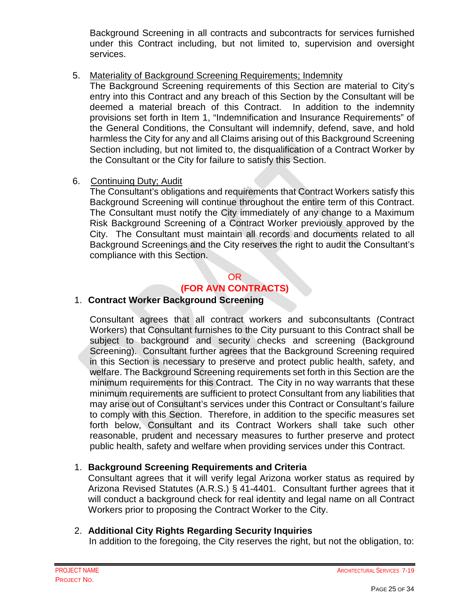Background Screening in all contracts and subcontracts for services furnished under this Contract including, but not limited to, supervision and oversight services.

### 5. Materiality of Background Screening Requirements; Indemnity

The Background Screening requirements of this Section are material to City's entry into this Contract and any breach of this Section by the Consultant will be deemed a material breach of this Contract. In addition to the indemnity provisions set forth in Item 1, "Indemnification and Insurance Requirements" of the General Conditions, the Consultant will indemnify, defend, save, and hold harmless the City for any and all Claims arising out of this Background Screening Section including, but not limited to, the disqualification of a Contract Worker by the Consultant or the City for failure to satisfy this Section.

#### 6. Continuing Duty; Audit

The Consultant's obligations and requirements that Contract Workers satisfy this Background Screening will continue throughout the entire term of this Contract. The Consultant must notify the City immediately of any change to a Maximum Risk Background Screening of a Contract Worker previously approved by the City. The Consultant must maintain all records and documents related to all Background Screenings and the City reserves the right to audit the Consultant's compliance with this Section.

#### OR

## **(FOR AVN CONTRACTS)**

### 1. **Contract Worker Background Screening**

Consultant agrees that all contract workers and subconsultants (Contract Workers) that Consultant furnishes to the City pursuant to this Contract shall be subject to background and security checks and screening (Background Screening). Consultant further agrees that the Background Screening required in this Section is necessary to preserve and protect public health, safety, and welfare. The Background Screening requirements set forth in this Section are the minimum requirements for this Contract. The City in no way warrants that these minimum requirements are sufficient to protect Consultant from any liabilities that may arise out of Consultant's services under this Contract or Consultant's failure to comply with this Section. Therefore, in addition to the specific measures set forth below, Consultant and its Contract Workers shall take such other reasonable, prudent and necessary measures to further preserve and protect public health, safety and welfare when providing services under this Contract.

## 1. **Background Screening Requirements and Criteria**

Consultant agrees that it will verify legal Arizona worker status as required by Arizona Revised Statutes (A.R.S.) § 41-4401. Consultant further agrees that it will conduct a background check for real identity and legal name on all Contract Workers prior to proposing the Contract Worker to the City.

#### 2. **Additional City Rights Regarding Security Inquiries**

In addition to the foregoing, the City reserves the right, but not the obligation, to: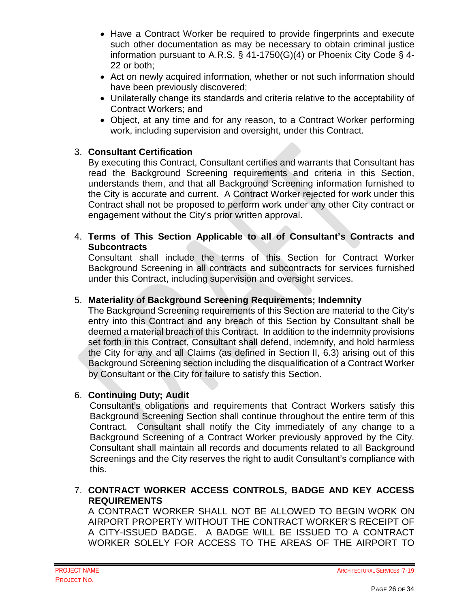- Have a Contract Worker be required to provide fingerprints and execute such other documentation as may be necessary to obtain criminal justice information pursuant to A.R.S. § 41-1750(G)(4) or Phoenix City Code § 4- 22 or both;
- Act on newly acquired information, whether or not such information should have been previously discovered;
- Unilaterally change its standards and criteria relative to the acceptability of Contract Workers; and
- Object, at any time and for any reason, to a Contract Worker performing work, including supervision and oversight, under this Contract.

### 3. **Consultant Certification**

By executing this Contract, Consultant certifies and warrants that Consultant has read the Background Screening requirements and criteria in this Section, understands them, and that all Background Screening information furnished to the City is accurate and current. A Contract Worker rejected for work under this Contract shall not be proposed to perform work under any other City contract or engagement without the City's prior written approval.

#### 4. **Terms of This Section Applicable to all of Consultant's Contracts and Subcontracts**

Consultant shall include the terms of this Section for Contract Worker Background Screening in all contracts and subcontracts for services furnished under this Contract, including supervision and oversight services.

#### 5. **Materiality of Background Screening Requirements; Indemnity**

The Background Screening requirements of this Section are material to the City's entry into this Contract and any breach of this Section by Consultant shall be deemed a material breach of this Contract. In addition to the indemnity provisions set forth in this Contract, Consultant shall defend, indemnify, and hold harmless the City for any and all Claims (as defined in Section II, 6.3) arising out of this Background Screening section including the disqualification of a Contract Worker by Consultant or the City for failure to satisfy this Section.

#### 6. **Continuing Duty; Audit**

Consultant's obligations and requirements that Contract Workers satisfy this Background Screening Section shall continue throughout the entire term of this Contract. Consultant shall notify the City immediately of any change to a Background Screening of a Contract Worker previously approved by the City. Consultant shall maintain all records and documents related to all Background Screenings and the City reserves the right to audit Consultant's compliance with this.

#### 7. **CONTRACT WORKER ACCESS CONTROLS, BADGE AND KEY ACCESS REQUIREMENTS**

A CONTRACT WORKER SHALL NOT BE ALLOWED TO BEGIN WORK ON AIRPORT PROPERTY WITHOUT THE CONTRACT WORKER'S RECEIPT OF A CITY-ISSUED BADGE. A BADGE WILL BE ISSUED TO A CONTRACT WORKER SOLELY FOR ACCESS TO THE AREAS OF THE AIRPORT TO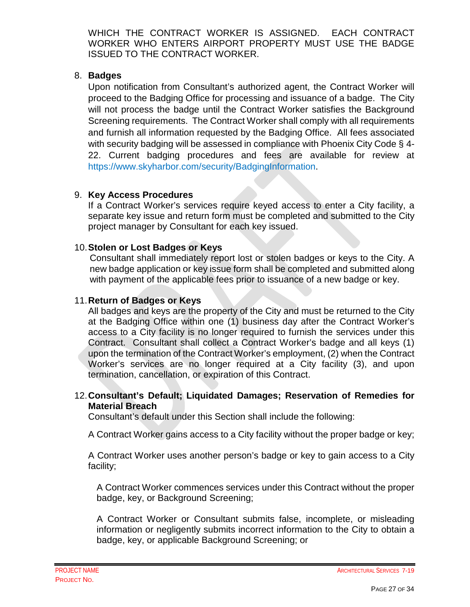WHICH THE CONTRACT WORKER IS ASSIGNED. EACH CONTRACT WORKER WHO ENTERS AIRPORT PROPERTY MUST USE THE BADGE ISSUED TO THE CONTRACT WORKER.

### 8. **Badges**

Upon notification from Consultant's authorized agent, the Contract Worker will proceed to the Badging Office for processing and issuance of a badge. The City will not process the badge until the Contract Worker satisfies the Background Screening requirements. The Contract Worker shall comply with all requirements and furnish all information requested by the Badging Office. All fees associated with security badging will be assessed in compliance with Phoenix City Code § 4-22. Current badging procedures and fees are available for review at https://www.skyharbor.com/security/BadgingInformation.

### 9. **Key Access Procedures**

If a Contract Worker's services require keyed access to enter a City facility, a separate key issue and return form must be completed and submitted to the City project manager by Consultant for each key issued.

### 10.**Stolen or Lost Badges or Keys**

Consultant shall immediately report lost or stolen badges or keys to the City. A new badge application or key issue form shall be completed and submitted along with payment of the applicable fees prior to issuance of a new badge or key.

## 11.**Return of Badges or Keys**

All badges and keys are the property of the City and must be returned to the City at the Badging Office within one (1) business day after the Contract Worker's access to a City facility is no longer required to furnish the services under this Contract. Consultant shall collect a Contract Worker's badge and all keys (1) upon the termination of the Contract Worker's employment, (2) when the Contract Worker's services are no longer required at a City facility (3), and upon termination, cancellation, or expiration of this Contract.

#### 12.**Consultant's Default; Liquidated Damages; Reservation of Remedies for Material Breach**

Consultant's default under this Section shall include the following:

A Contract Worker gains access to a City facility without the proper badge or key;

A Contract Worker uses another person's badge or key to gain access to a City facility;

A Contract Worker commences services under this Contract without the proper badge, key, or Background Screening;

A Contract Worker or Consultant submits false, incomplete, or misleading information or negligently submits incorrect information to the City to obtain a badge, key, or applicable Background Screening; or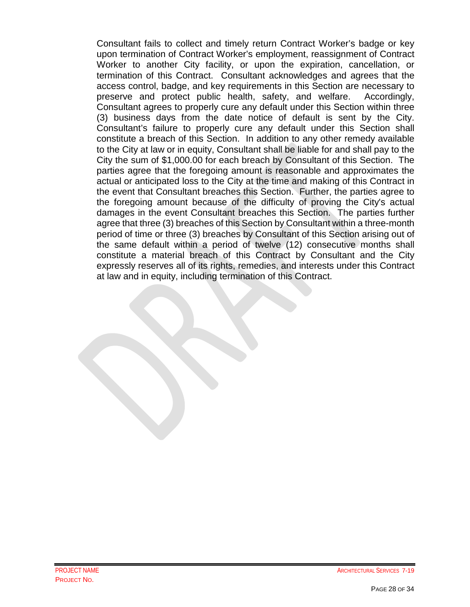Consultant fails to collect and timely return Contract Worker's badge or key upon termination of Contract Worker's employment, reassignment of Contract Worker to another City facility, or upon the expiration, cancellation, or termination of this Contract. Consultant acknowledges and agrees that the access control, badge, and key requirements in this Section are necessary to preserve and protect public health, safety, and welfare. Accordingly, Consultant agrees to properly cure any default under this Section within three (3) business days from the date notice of default is sent by the City. Consultant's failure to properly cure any default under this Section shall constitute a breach of this Section. In addition to any other remedy available to the City at law or in equity, Consultant shall be liable for and shall pay to the City the sum of \$1,000.00 for each breach by Consultant of this Section. The parties agree that the foregoing amount is reasonable and approximates the actual or anticipated loss to the City at the time and making of this Contract in the event that Consultant breaches this Section. Further, the parties agree to the foregoing amount because of the difficulty of proving the City's actual damages in the event Consultant breaches this Section. The parties further agree that three (3) breaches of this Section by Consultant within a three-month period of time or three (3) breaches by Consultant of this Section arising out of the same default within a period of twelve (12) consecutive months shall constitute a material breach of this Contract by Consultant and the City expressly reserves all of its rights, remedies, and interests under this Contract at law and in equity, including termination of this Contract.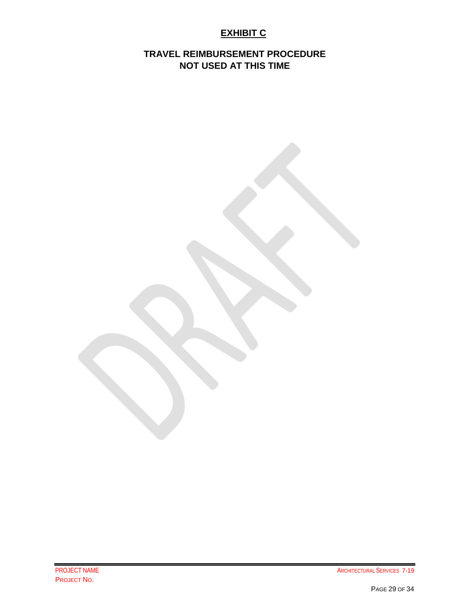# **EXHIBIT C**

### <span id="page-36-0"></span>**TRAVEL REIMBURSEMENT PROCEDURE NOT USED AT THIS TIME**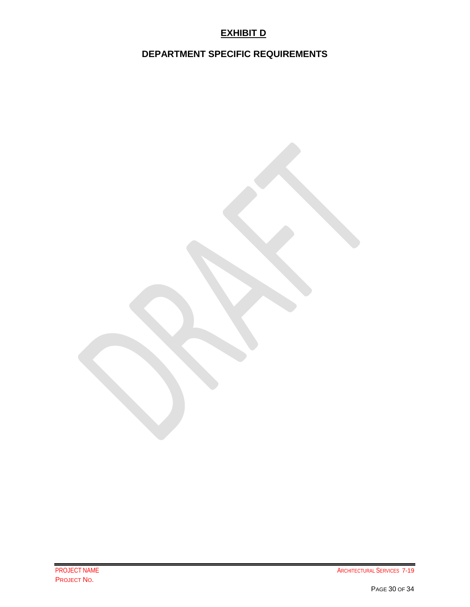# **EXHIBIT D**

# <span id="page-37-0"></span>**DEPARTMENT SPECIFIC REQUIREMENTS**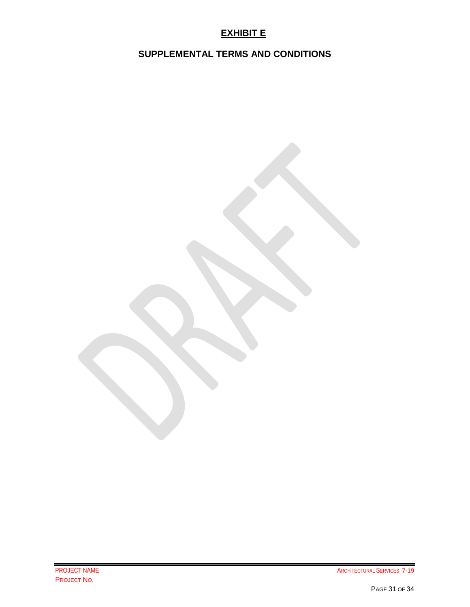# **EXHIBIT E**

# <span id="page-38-0"></span>**SUPPLEMENTAL TERMS AND CONDITIONS**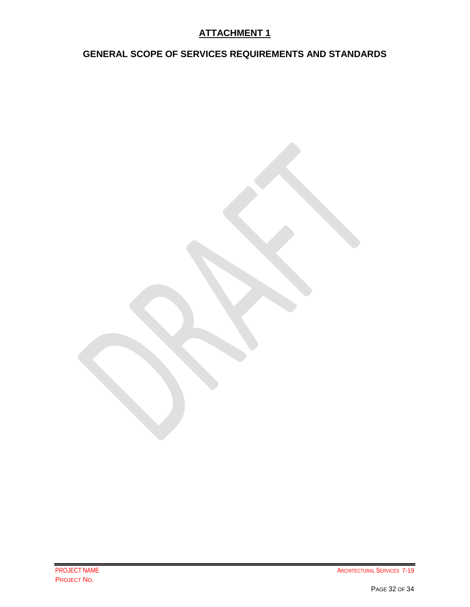# **ATTACHMENT 1**

# <span id="page-39-0"></span>**GENERAL SCOPE OF SERVICES REQUIREMENTS AND STANDARDS**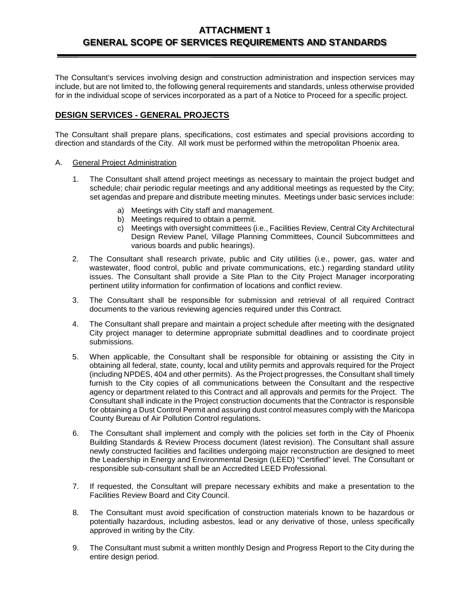#### **ATTACHMENT 1 GENERAL SCOPE OF SERVICES REQUIREMENTS AND STANDARDS**

The Consultant's services involving design and construction administration and inspection services may include, but are not limited to, the following general requirements and standards, unless otherwise provided for in the individual scope of services incorporated as a part of a Notice to Proceed for a specific project.

#### **DESIGN SERVICES - GENERAL PROJECTS**

The Consultant shall prepare plans, specifications, cost estimates and special provisions according to direction and standards of the City. All work must be performed within the metropolitan Phoenix area.

#### A. General Project Administration

- 1. The Consultant shall attend project meetings as necessary to maintain the project budget and schedule; chair periodic regular meetings and any additional meetings as requested by the City; set agendas and prepare and distribute meeting minutes. Meetings under basic services include:
	- a) Meetings with City staff and management.
	- b) Meetings required to obtain a permit.
	- c) Meetings with oversight committees (i.e., Facilities Review, Central City Architectural Design Review Panel, Village Planning Committees, Council Subcommittees and various boards and public hearings).
- 2. The Consultant shall research private, public and City utilities (i.e., power, gas, water and wastewater, flood control, public and private communications, etc.) regarding standard utility issues. The Consultant shall provide a Site Plan to the City Project Manager incorporating pertinent utility information for confirmation of locations and conflict review.
- 3. The Consultant shall be responsible for submission and retrieval of all required Contract documents to the various reviewing agencies required under this Contract.
- 4. The Consultant shall prepare and maintain a project schedule after meeting with the designated City project manager to determine appropriate submittal deadlines and to coordinate project submissions.
- 5. When applicable, the Consultant shall be responsible for obtaining or assisting the City in obtaining all federal, state, county, local and utility permits and approvals required for the Project (including NPDES, 404 and other permits). As the Project progresses, the Consultant shall timely furnish to the City copies of all communications between the Consultant and the respective agency or department related to this Contract and all approvals and permits for the Project. The Consultant shall indicate in the Project construction documents that the Contractor is responsible for obtaining a Dust Control Permit and assuring dust control measures comply with the Maricopa County Bureau of Air Pollution Control regulations.
- 6. The Consultant shall implement and comply with the policies set forth in the City of Phoenix Building Standards & Review Process document (latest revision). The Consultant shall assure newly constructed facilities and facilities undergoing major reconstruction are designed to meet the Leadership in Energy and Environmental Design (LEED) "Certified" level. The Consultant or responsible sub-consultant shall be an Accredited LEED Professional.
- 7. If requested, the Consultant will prepare necessary exhibits and make a presentation to the Facilities Review Board and City Council.
- 8. The Consultant must avoid specification of construction materials known to be hazardous or potentially hazardous, including asbestos, lead or any derivative of those, unless specifically approved in writing by the City.
- 9. The Consultant must submit a written monthly Design and Progress Report to the City during the entire design period.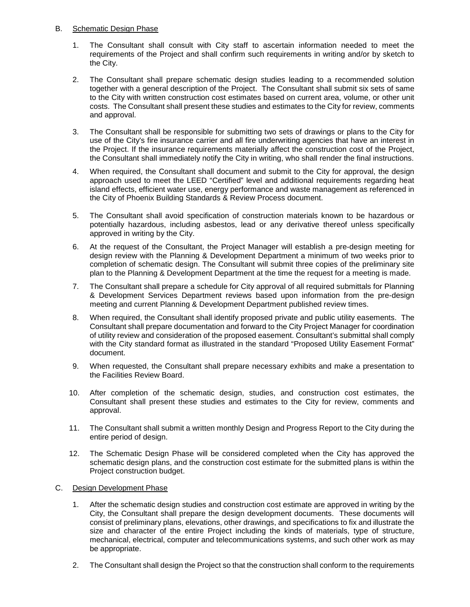#### B. Schematic Design Phase

- 1. The Consultant shall consult with City staff to ascertain information needed to meet the requirements of the Project and shall confirm such requirements in writing and/or by sketch to the City.
- 2. The Consultant shall prepare schematic design studies leading to a recommended solution together with a general description of the Project. The Consultant shall submit six sets of same to the City with written construction cost estimates based on current area, volume, or other unit costs. The Consultant shall present these studies and estimates to the City for review, comments and approval.
- 3. The Consultant shall be responsible for submitting two sets of drawings or plans to the City for use of the City's fire insurance carrier and all fire underwriting agencies that have an interest in the Project. If the insurance requirements materially affect the construction cost of the Project, the Consultant shall immediately notify the City in writing, who shall render the final instructions.
- 4. When required, the Consultant shall document and submit to the City for approval, the design approach used to meet the LEED "Certified" level and additional requirements regarding heat island effects, efficient water use, energy performance and waste management as referenced in the City of Phoenix Building Standards & Review Process document.
- 5. The Consultant shall avoid specification of construction materials known to be hazardous or potentially hazardous, including asbestos, lead or any derivative thereof unless specifically approved in writing by the City.
- 6. At the request of the Consultant, the Project Manager will establish a pre-design meeting for design review with the Planning & Development Department a minimum of two weeks prior to completion of schematic design. The Consultant will submit three copies of the preliminary site plan to the Planning & Development Department at the time the request for a meeting is made.
- 7. The Consultant shall prepare a schedule for City approval of all required submittals for Planning & Development Services Department reviews based upon information from the pre-design meeting and current Planning & Development Department published review times.
- 8. When required, the Consultant shall identify proposed private and public utility easements. The Consultant shall prepare documentation and forward to the City Project Manager for coordination of utility review and consideration of the proposed easement. Consultant's submittal shall comply with the City standard format as illustrated in the standard "Proposed Utility Easement Format" document.
- 9. When requested, the Consultant shall prepare necessary exhibits and make a presentation to the Facilities Review Board.
- 10. After completion of the schematic design, studies, and construction cost estimates, the Consultant shall present these studies and estimates to the City for review, comments and approval.
- 11. The Consultant shall submit a written monthly Design and Progress Report to the City during the entire period of design.
- 12. The Schematic Design Phase will be considered completed when the City has approved the schematic design plans, and the construction cost estimate for the submitted plans is within the Project construction budget.

#### C. Design Development Phase

- 1. After the schematic design studies and construction cost estimate are approved in writing by the City, the Consultant shall prepare the design development documents. These documents will consist of preliminary plans, elevations, other drawings, and specifications to fix and illustrate the size and character of the entire Project including the kinds of materials, type of structure, mechanical, electrical, computer and telecommunications systems, and such other work as may be appropriate.
- 2. The Consultant shall design the Project so that the construction shall conform to the requirements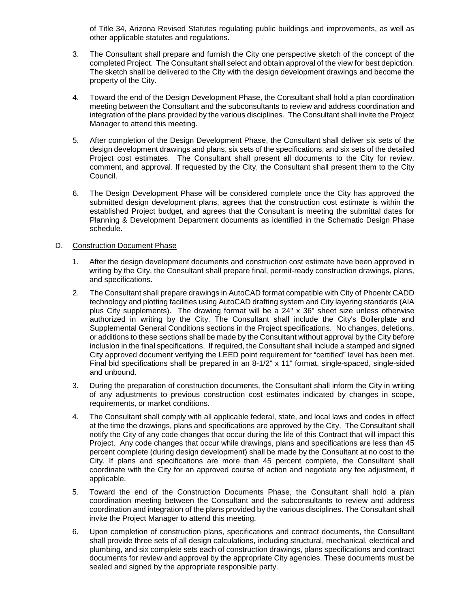of Title 34, Arizona Revised Statutes regulating public buildings and improvements, as well as other applicable statutes and regulations.

- 3. The Consultant shall prepare and furnish the City one perspective sketch of the concept of the completed Project. The Consultant shall select and obtain approval of the view for best depiction. The sketch shall be delivered to the City with the design development drawings and become the property of the City.
- 4. Toward the end of the Design Development Phase, the Consultant shall hold a plan coordination meeting between the Consultant and the subconsultants to review and address coordination and integration of the plans provided by the various disciplines. The Consultant shall invite the Project Manager to attend this meeting.
- 5. After completion of the Design Development Phase, the Consultant shall deliver six sets of the design development drawings and plans, six sets of the specifications, and six sets of the detailed Project cost estimates. The Consultant shall present all documents to the City for review, comment, and approval. If requested by the City, the Consultant shall present them to the City Council.
- 6. The Design Development Phase will be considered complete once the City has approved the submitted design development plans, agrees that the construction cost estimate is within the established Project budget, and agrees that the Consultant is meeting the submittal dates for Planning & Development Department documents as identified in the Schematic Design Phase schedule.

#### D. Construction Document Phase

- 1. After the design development documents and construction cost estimate have been approved in writing by the City, the Consultant shall prepare final, permit-ready construction drawings, plans, and specifications.
- 2. The Consultant shall prepare drawings in AutoCAD format compatible with City of Phoenix CADD technology and plotting facilities using AutoCAD drafting system and City layering standards (AIA plus City supplements). The drawing format will be a 24" x 36" sheet size unless otherwise authorized in writing by the City. The Consultant shall include the City's Boilerplate and Supplemental General Conditions sections in the Project specifications. No changes, deletions, or additions to these sections shall be made by the Consultant without approval by the City before inclusion in the final specifications. If required, the Consultant shall include a stamped and signed City approved document verifying the LEED point requirement for "certified" level has been met. Final bid specifications shall be prepared in an 8-1/2" x 11" format, single-spaced, single-sided and unbound.
- 3. During the preparation of construction documents, the Consultant shall inform the City in writing of any adjustments to previous construction cost estimates indicated by changes in scope, requirements, or market conditions.
- 4. The Consultant shall comply with all applicable federal, state, and local laws and codes in effect at the time the drawings, plans and specifications are approved by the City. The Consultant shall notify the City of any code changes that occur during the life of this Contract that will impact this Project. Any code changes that occur while drawings, plans and specifications are less than 45 percent complete (during design development) shall be made by the Consultant at no cost to the City. If plans and specifications are more than 45 percent complete, the Consultant shall coordinate with the City for an approved course of action and negotiate any fee adjustment, if applicable.
- 5. Toward the end of the Construction Documents Phase, the Consultant shall hold a plan coordination meeting between the Consultant and the subconsultants to review and address coordination and integration of the plans provided by the various disciplines. The Consultant shall invite the Project Manager to attend this meeting.
- 6. Upon completion of construction plans, specifications and contract documents, the Consultant shall provide three sets of all design calculations, including structural, mechanical, electrical and plumbing, and six complete sets each of construction drawings, plans specifications and contract documents for review and approval by the appropriate City agencies. These documents must be sealed and signed by the appropriate responsible party.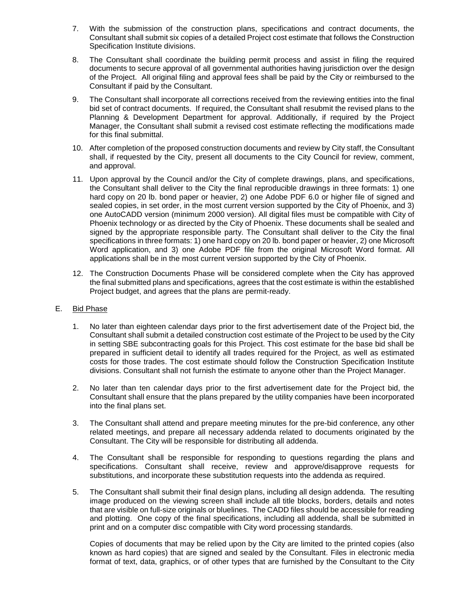- 7. With the submission of the construction plans, specifications and contract documents, the Consultant shall submit six copies of a detailed Project cost estimate that follows the Construction Specification Institute divisions.
- 8. The Consultant shall coordinate the building permit process and assist in filing the required documents to secure approval of all governmental authorities having jurisdiction over the design of the Project. All original filing and approval fees shall be paid by the City or reimbursed to the Consultant if paid by the Consultant.
- 9. The Consultant shall incorporate all corrections received from the reviewing entities into the final bid set of contract documents. If required, the Consultant shall resubmit the revised plans to the Planning & Development Department for approval. Additionally, if required by the Project Manager, the Consultant shall submit a revised cost estimate reflecting the modifications made for this final submittal.
- 10. After completion of the proposed construction documents and review by City staff, the Consultant shall, if requested by the City, present all documents to the City Council for review, comment, and approval.
- 11. Upon approval by the Council and/or the City of complete drawings, plans, and specifications, the Consultant shall deliver to the City the final reproducible drawings in three formats: 1) one hard copy on 20 lb. bond paper or heavier, 2) one Adobe PDF 6.0 or higher file of signed and sealed copies, in set order, in the most current version supported by the City of Phoenix, and 3) one AutoCADD version (minimum 2000 version). All digital files must be compatible with City of Phoenix technology or as directed by the City of Phoenix. These documents shall be sealed and signed by the appropriate responsible party. The Consultant shall deliver to the City the final specifications in three formats: 1) one hard copy on 20 lb. bond paper or heavier, 2) one Microsoft Word application, and 3) one Adobe PDF file from the original Microsoft Word format. All applications shall be in the most current version supported by the City of Phoenix.
- 12. The Construction Documents Phase will be considered complete when the City has approved the final submitted plans and specifications, agrees that the cost estimate is within the established Project budget, and agrees that the plans are permit-ready.

#### E. Bid Phase

- 1. No later than eighteen calendar days prior to the first advertisement date of the Project bid, the Consultant shall submit a detailed construction cost estimate of the Project to be used by the City in setting SBE subcontracting goals for this Project. This cost estimate for the base bid shall be prepared in sufficient detail to identify all trades required for the Project, as well as estimated costs for those trades. The cost estimate should follow the Construction Specification Institute divisions. Consultant shall not furnish the estimate to anyone other than the Project Manager.
- 2. No later than ten calendar days prior to the first advertisement date for the Project bid, the Consultant shall ensure that the plans prepared by the utility companies have been incorporated into the final plans set.
- 3. The Consultant shall attend and prepare meeting minutes for the pre-bid conference, any other related meetings, and prepare all necessary addenda related to documents originated by the Consultant. The City will be responsible for distributing all addenda.
- 4. The Consultant shall be responsible for responding to questions regarding the plans and specifications. Consultant shall receive, review and approve/disapprove requests for substitutions, and incorporate these substitution requests into the addenda as required.
- 5. The Consultant shall submit their final design plans, including all design addenda. The resulting image produced on the viewing screen shall include all title blocks, borders, details and notes that are visible on full-size originals or bluelines. The CADD files should be accessible for reading and plotting. One copy of the final specifications, including all addenda, shall be submitted in print and on a computer disc compatible with City word processing standards.

Copies of documents that may be relied upon by the City are limited to the printed copies (also known as hard copies) that are signed and sealed by the Consultant. Files in electronic media format of text, data, graphics, or of other types that are furnished by the Consultant to the City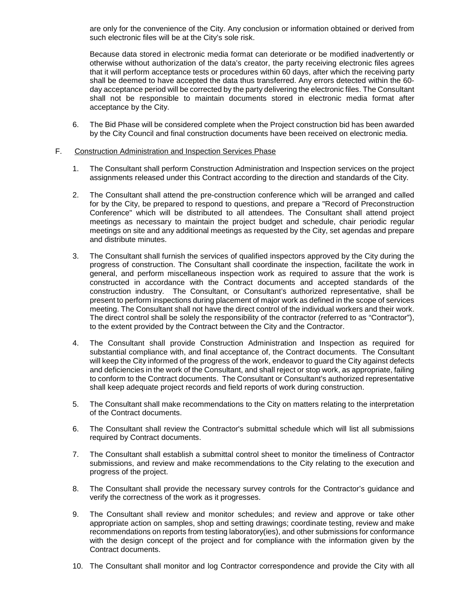are only for the convenience of the City. Any conclusion or information obtained or derived from such electronic files will be at the City's sole risk.

Because data stored in electronic media format can deteriorate or be modified inadvertently or otherwise without authorization of the data's creator, the party receiving electronic files agrees that it will perform acceptance tests or procedures within 60 days, after which the receiving party shall be deemed to have accepted the data thus transferred. Any errors detected within the 60 day acceptance period will be corrected by the party delivering the electronic files. The Consultant shall not be responsible to maintain documents stored in electronic media format after acceptance by the City.

6. The Bid Phase will be considered complete when the Project construction bid has been awarded by the City Council and final construction documents have been received on electronic media.

#### F. Construction Administration and Inspection Services Phase

- 1. The Consultant shall perform Construction Administration and Inspection services on the project assignments released under this Contract according to the direction and standards of the City.
- 2. The Consultant shall attend the pre-construction conference which will be arranged and called for by the City, be prepared to respond to questions, and prepare a "Record of Preconstruction Conference" which will be distributed to all attendees. The Consultant shall attend project meetings as necessary to maintain the project budget and schedule, chair periodic regular meetings on site and any additional meetings as requested by the City, set agendas and prepare and distribute minutes.
- 3. The Consultant shall furnish the services of qualified inspectors approved by the City during the progress of construction. The Consultant shall coordinate the inspection, facilitate the work in general, and perform miscellaneous inspection work as required to assure that the work is constructed in accordance with the Contract documents and accepted standards of the construction industry. The Consultant, or Consultant's authorized representative, shall be present to perform inspections during placement of major work as defined in the scope of services meeting. The Consultant shall not have the direct control of the individual workers and their work. The direct control shall be solely the responsibility of the contractor (referred to as "Contractor"), to the extent provided by the Contract between the City and the Contractor.
- 4. The Consultant shall provide Construction Administration and Inspection as required for substantial compliance with, and final acceptance of, the Contract documents. The Consultant will keep the City informed of the progress of the work, endeavor to guard the City against defects and deficiencies in the work of the Consultant, and shall reject or stop work, as appropriate, failing to conform to the Contract documents. The Consultant or Consultant's authorized representative shall keep adequate project records and field reports of work during construction.
- 5. The Consultant shall make recommendations to the City on matters relating to the interpretation of the Contract documents.
- 6. The Consultant shall review the Contractor's submittal schedule which will list all submissions required by Contract documents.
- 7. The Consultant shall establish a submittal control sheet to monitor the timeliness of Contractor submissions, and review and make recommendations to the City relating to the execution and progress of the project.
- 8. The Consultant shall provide the necessary survey controls for the Contractor's guidance and verify the correctness of the work as it progresses.
- 9. The Consultant shall review and monitor schedules; and review and approve or take other appropriate action on samples, shop and setting drawings; coordinate testing, review and make recommendations on reports from testing laboratory(ies), and other submissions for conformance with the design concept of the project and for compliance with the information given by the Contract documents.
- 10. The Consultant shall monitor and log Contractor correspondence and provide the City with all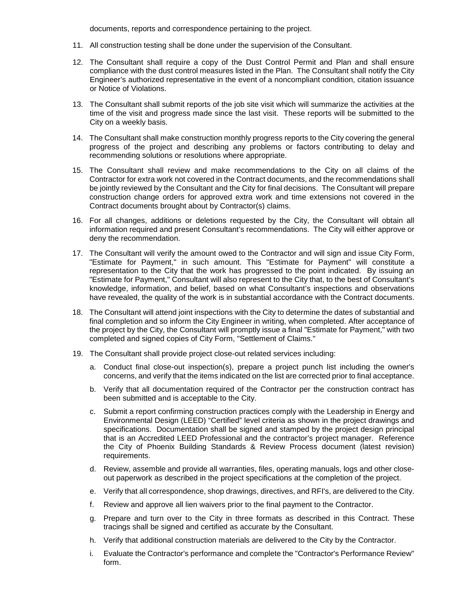documents, reports and correspondence pertaining to the project.

- 11. All construction testing shall be done under the supervision of the Consultant.
- 12. The Consultant shall require a copy of the Dust Control Permit and Plan and shall ensure compliance with the dust control measures listed in the Plan. The Consultant shall notify the City Engineer's authorized representative in the event of a noncompliant condition, citation issuance or Notice of Violations.
- 13. The Consultant shall submit reports of the job site visit which will summarize the activities at the time of the visit and progress made since the last visit. These reports will be submitted to the City on a weekly basis.
- 14. The Consultant shall make construction monthly progress reports to the City covering the general progress of the project and describing any problems or factors contributing to delay and recommending solutions or resolutions where appropriate.
- 15. The Consultant shall review and make recommendations to the City on all claims of the Contractor for extra work not covered in the Contract documents, and the recommendations shall be jointly reviewed by the Consultant and the City for final decisions. The Consultant will prepare construction change orders for approved extra work and time extensions not covered in the Contract documents brought about by Contractor(s) claims.
- 16. For all changes, additions or deletions requested by the City, the Consultant will obtain all information required and present Consultant's recommendations. The City will either approve or deny the recommendation.
- 17. The Consultant will verify the amount owed to the Contractor and will sign and issue City Form, "Estimate for Payment," in such amount. This "Estimate for Payment" will constitute a representation to the City that the work has progressed to the point indicated. By issuing an "Estimate for Payment," Consultant will also represent to the City that, to the best of Consultant's knowledge, information, and belief, based on what Consultant's inspections and observations have revealed, the quality of the work is in substantial accordance with the Contract documents.
- 18. The Consultant will attend joint inspections with the City to determine the dates of substantial and final completion and so inform the City Engineer in writing, when completed. After acceptance of the project by the City, the Consultant will promptly issue a final "Estimate for Payment," with two completed and signed copies of City Form, "Settlement of Claims."
- 19. The Consultant shall provide project close-out related services including:
	- a. Conduct final close-out inspection(s), prepare a project punch list including the owner's concerns, and verify that the items indicated on the list are corrected prior to final acceptance.
	- b. Verify that all documentation required of the Contractor per the construction contract has been submitted and is acceptable to the City.
	- c. Submit a report confirming construction practices comply with the Leadership in Energy and Environmental Design (LEED) "Certified" level criteria as shown in the project drawings and specifications. Documentation shall be signed and stamped by the project design principal that is an Accredited LEED Professional and the contractor's project manager. Reference the City of Phoenix Building Standards & Review Process document (latest revision) requirements.
	- d. Review, assemble and provide all warranties, files, operating manuals, logs and other closeout paperwork as described in the project specifications at the completion of the project.
	- e. Verify that all correspondence, shop drawings, directives, and RFI's, are delivered to the City.
	- f. Review and approve all lien waivers prior to the final payment to the Contractor.
	- g. Prepare and turn over to the City in three formats as described in this Contract. These tracings shall be signed and certified as accurate by the Consultant.
	- h. Verify that additional construction materials are delivered to the City by the Contractor.
	- i. Evaluate the Contractor's performance and complete the "Contractor's Performance Review" form.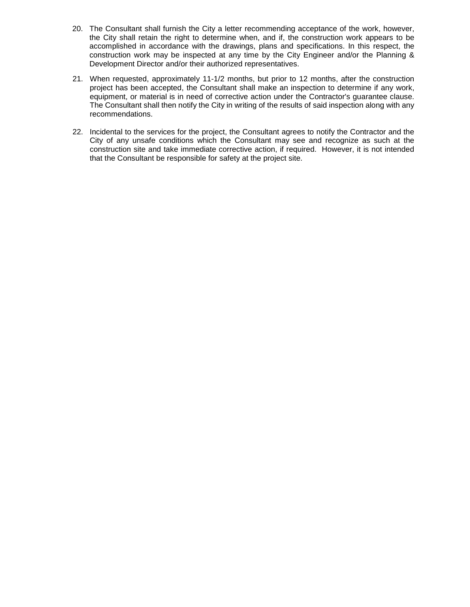- 20. The Consultant shall furnish the City a letter recommending acceptance of the work, however, the City shall retain the right to determine when, and if, the construction work appears to be accomplished in accordance with the drawings, plans and specifications. In this respect, the construction work may be inspected at any time by the City Engineer and/or the Planning & Development Director and/or their authorized representatives.
- 21. When requested, approximately 11-1/2 months, but prior to 12 months, after the construction project has been accepted, the Consultant shall make an inspection to determine if any work, equipment, or material is in need of corrective action under the Contractor's guarantee clause. The Consultant shall then notify the City in writing of the results of said inspection along with any recommendations.
- 22. Incidental to the services for the project, the Consultant agrees to notify the Contractor and the City of any unsafe conditions which the Consultant may see and recognize as such at the construction site and take immediate corrective action, if required. However, it is not intended that the Consultant be responsible for safety at the project site.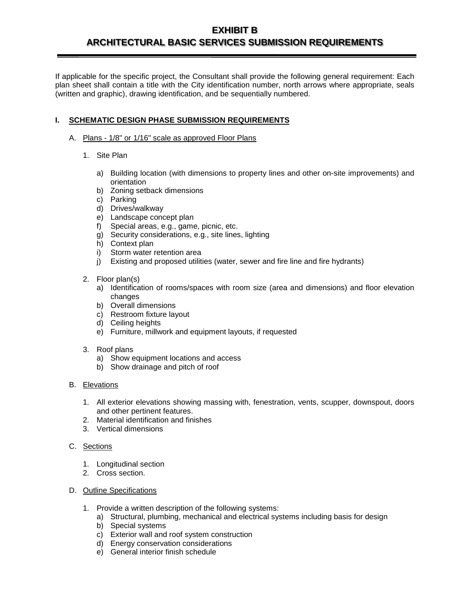#### **EXHIBIT B ARCHITECTURAL BASIC SERVICES SUBMISSION REQUIREMENTS**

If applicable for the specific project, the Consultant shall provide the following general requirement: Each plan sheet shall contain a title with the City identification number, north arrows where appropriate, seals (written and graphic), drawing identification, and be sequentially numbered.

#### **I. SCHEMATIC DESIGN PHASE SUBMISSION REQUIREMENTS**

#### A. Plans - 1/8" or 1/16" scale as approved Floor Plans

- 1. Site Plan
	- a) Building location (with dimensions to property lines and other on-site improvements) and orientation
	- b) Zoning setback dimensions
	- c) Parking
	- d) Drives/walkway
	- e) Landscape concept plan
	- f) Special areas, e.g., game, picnic, etc.
	- g) Security considerations, e.g., site lines, lighting
	- h) Context plan
	- i) Storm water retention area
	- j) Existing and proposed utilities (water, sewer and fire line and fire hydrants)
- 2. Floor plan(s)
	- a) Identification of rooms/spaces with room size (area and dimensions) and floor elevation changes
	- b) Overall dimensions
	- c) Restroom fixture layout
	- d) Ceiling heights
	- e) Furniture, millwork and equipment layouts, if requested
- 3. Roof plans
	- a) Show equipment locations and access
	- b) Show drainage and pitch of roof
- B. Elevations
	- 1. All exterior elevations showing massing with, fenestration, vents, scupper, downspout, doors and other pertinent features.
	- 2. Material identification and finishes
	- 3. Vertical dimensions
- C. Sections
	- 1. Longitudinal section
	- 2. Cross section.
- D. Outline Specifications
	- 1. Provide a written description of the following systems:
		- a) Structural, plumbing, mechanical and electrical systems including basis for design
		- b) Special systems
		- c) Exterior wall and roof system construction
		- d) Energy conservation considerations
		- e) General interior finish schedule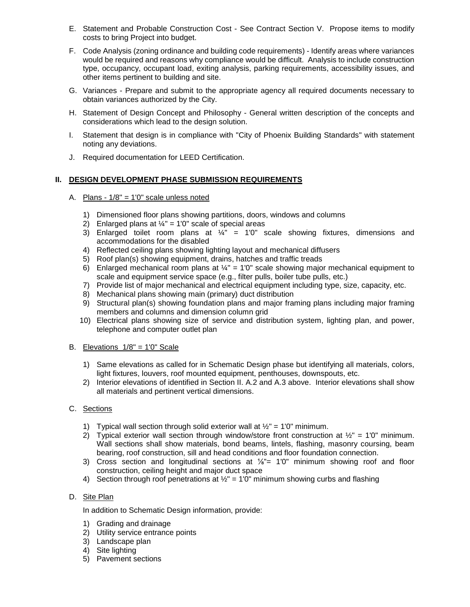- E. Statement and Probable Construction Cost See Contract Section V. Propose items to modify costs to bring Project into budget.
- F. Code Analysis (zoning ordinance and building code requirements) Identify areas where variances would be required and reasons why compliance would be difficult. Analysis to include construction type, occupancy, occupant load, exiting analysis, parking requirements, accessibility issues, and other items pertinent to building and site.
- G. Variances Prepare and submit to the appropriate agency all required documents necessary to obtain variances authorized by the City.
- H. Statement of Design Concept and Philosophy General written description of the concepts and considerations which lead to the design solution.
- I. Statement that design is in compliance with "City of Phoenix Building Standards" with statement noting any deviations.
- J. Required documentation for LEED Certification.

#### **II. DESIGN DEVELOPMENT PHASE SUBMISSION REQUIREMENTS**

- A. Plans 1/8" = 1'0" scale unless noted
	- 1) Dimensioned floor plans showing partitions, doors, windows and columns
	- 2) Enlarged plans at  $\frac{1}{4}$ " = 1'0" scale of special areas
	- 3) Enlarged toilet room plans at  $\frac{1}{4}$ " = 1'0" scale showing fixtures, dimensions and accommodations for the disabled
	- 4) Reflected ceiling plans showing lighting layout and mechanical diffusers
	- 5) Roof plan(s) showing equipment, drains, hatches and traffic treads
	- 6) Enlarged mechanical room plans at  $\frac{1}{4}$ " = 1'0" scale showing major mechanical equipment to scale and equipment service space (e.g., filter pulls, boiler tube pulls, etc.)
	- 7) Provide list of major mechanical and electrical equipment including type, size, capacity, etc.
	- 8) Mechanical plans showing main (primary) duct distribution
	- 9) Structural plan(s) showing foundation plans and major framing plans including major framing members and columns and dimension column grid
	- 10) Electrical plans showing size of service and distribution system, lighting plan, and power, telephone and computer outlet plan

#### B. Elevations 1/8" = 1'0" Scale

- 1) Same elevations as called for in Schematic Design phase but identifying all materials, colors, light fixtures, louvers, roof mounted equipment, penthouses, downspouts, etc.
- 2) Interior elevations of identified in Section II. A.2 and A.3 above. Interior elevations shall show all materials and pertinent vertical dimensions.

#### C. Sections

- 1) Typical wall section through solid exterior wall at  $\frac{1}{2}$ " = 1'0" minimum.
- 2) Typical exterior wall section through window/store front construction at  $\frac{1}{2}$ " = 1'0" minimum. Wall sections shall show materials, bond beams, lintels, flashing, masonry coursing, beam bearing, roof construction, sill and head conditions and floor foundation connection.
- 3) Cross section and longitudinal sections at  $\frac{1}{8}$  = 1'0" minimum showing roof and floor construction, ceiling height and major duct space
- 4) Section through roof penetrations at  $\frac{1}{2}$ " = 1'0" minimum showing curbs and flashing

#### D. Site Plan

In addition to Schematic Design information, provide:

- 1) Grading and drainage
- 2) Utility service entrance points
- 3) Landscape plan
- 4) Site lighting
- 5) Pavement sections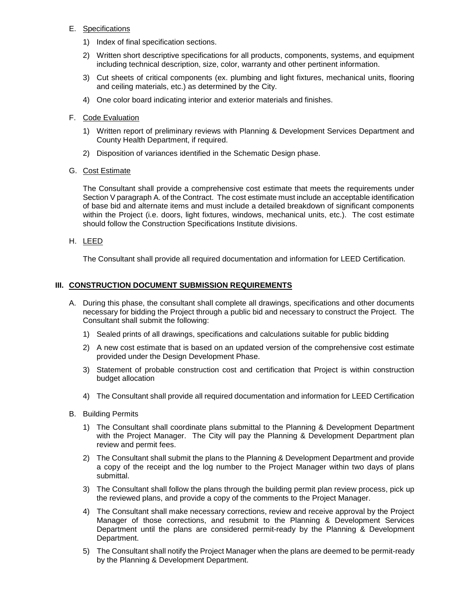#### E. Specifications

- 1) Index of final specification sections.
- 2) Written short descriptive specifications for all products, components, systems, and equipment including technical description, size, color, warranty and other pertinent information.
- 3) Cut sheets of critical components (ex. plumbing and light fixtures, mechanical units, flooring and ceiling materials, etc.) as determined by the City.
- 4) One color board indicating interior and exterior materials and finishes.

#### F. Code Evaluation

- 1) Written report of preliminary reviews with Planning & Development Services Department and County Health Department, if required.
- 2) Disposition of variances identified in the Schematic Design phase.

#### G. Cost Estimate

The Consultant shall provide a comprehensive cost estimate that meets the requirements under Section V paragraph A. of the Contract. The cost estimate must include an acceptable identification of base bid and alternate items and must include a detailed breakdown of significant components within the Project (i.e. doors, light fixtures, windows, mechanical units, etc.). The cost estimate should follow the Construction Specifications Institute divisions.

#### H. LEED

The Consultant shall provide all required documentation and information for LEED Certification.

#### **III. CONSTRUCTION DOCUMENT SUBMISSION REQUIREMENTS**

- A. During this phase, the consultant shall complete all drawings, specifications and other documents necessary for bidding the Project through a public bid and necessary to construct the Project. The Consultant shall submit the following:
	- 1) Sealed prints of all drawings, specifications and calculations suitable for public bidding
	- 2) A new cost estimate that is based on an updated version of the comprehensive cost estimate provided under the Design Development Phase.
	- 3) Statement of probable construction cost and certification that Project is within construction budget allocation
	- 4) The Consultant shall provide all required documentation and information for LEED Certification
- B. Building Permits
	- 1) The Consultant shall coordinate plans submittal to the Planning & Development Department with the Project Manager. The City will pay the Planning & Development Department plan review and permit fees.
	- 2) The Consultant shall submit the plans to the Planning & Development Department and provide a copy of the receipt and the log number to the Project Manager within two days of plans submittal.
	- 3) The Consultant shall follow the plans through the building permit plan review process, pick up the reviewed plans, and provide a copy of the comments to the Project Manager.
	- 4) The Consultant shall make necessary corrections, review and receive approval by the Project Manager of those corrections, and resubmit to the Planning & Development Services Department until the plans are considered permit-ready by the Planning & Development Department.
	- 5) The Consultant shall notify the Project Manager when the plans are deemed to be permit-ready by the Planning & Development Department.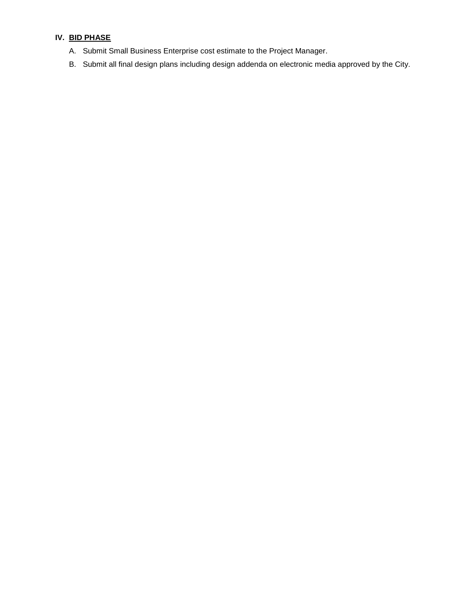#### **IV. BID PHASE**

- A. Submit Small Business Enterprise cost estimate to the Project Manager.
- B. Submit all final design plans including design addenda on electronic media approved by the City.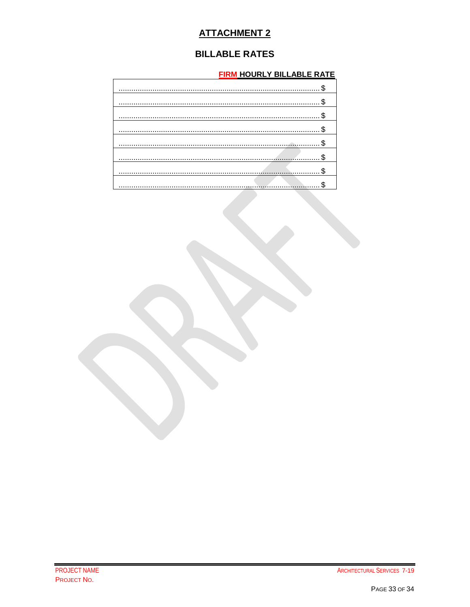# **ATTACHMENT 2**

# **BILLABLE RATES**

### **FIRM HOURLY BILLABLE RATE**

<span id="page-51-0"></span> $\mathbf{r}$